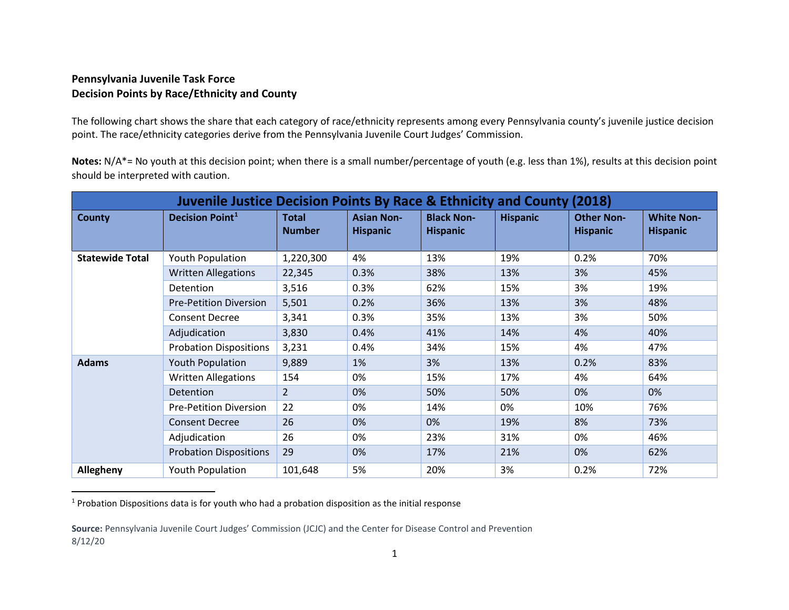## <span id="page-0-0"></span>**Pennsylvania Juvenile Task Force Decision Points by Race/Ethnicity and County**

The following chart shows the share that each category of race/ethnicity represents among every Pennsylvania county's juvenile justice decision point. The race/ethnicity categories derive from the Pennsylvania Juvenile Court Judges' Commission.

**Notes:** N/A\*= No youth at this decision point; when there is a small number/percentage of youth (e.g. less than 1%), results at this decision point should be interpreted with caution.

| <b>Juvenile Justice Decision Points By Race &amp; Ethnicity and County (2018)</b> |                               |                               |                                      |                                      |                 |                                      |                                      |  |  |
|-----------------------------------------------------------------------------------|-------------------------------|-------------------------------|--------------------------------------|--------------------------------------|-----------------|--------------------------------------|--------------------------------------|--|--|
| <b>County</b>                                                                     | <b>Decision Point1</b>        | <b>Total</b><br><b>Number</b> | <b>Asian Non-</b><br><b>Hispanic</b> | <b>Black Non-</b><br><b>Hispanic</b> | <b>Hispanic</b> | <b>Other Non-</b><br><b>Hispanic</b> | <b>White Non-</b><br><b>Hispanic</b> |  |  |
| <b>Statewide Total</b>                                                            | <b>Youth Population</b>       | 1,220,300                     | 4%                                   | 13%                                  | 19%             | 0.2%                                 | 70%                                  |  |  |
|                                                                                   | <b>Written Allegations</b>    | 22,345                        | 0.3%                                 | 38%                                  | 13%             | 3%                                   | 45%                                  |  |  |
|                                                                                   | Detention                     | 3,516                         | 0.3%                                 | 62%                                  | 15%             | 3%                                   | 19%                                  |  |  |
|                                                                                   | <b>Pre-Petition Diversion</b> | 5,501                         | 0.2%                                 | 36%                                  | 13%             | 3%                                   | 48%                                  |  |  |
|                                                                                   | <b>Consent Decree</b>         | 3,341                         | 0.3%                                 | 35%                                  | 13%             | 3%                                   | 50%                                  |  |  |
|                                                                                   | Adjudication                  | 3,830                         | 0.4%                                 | 41%                                  | 14%             | 4%                                   | 40%                                  |  |  |
|                                                                                   | <b>Probation Dispositions</b> | 3,231                         | 0.4%                                 | 34%                                  | 15%             | 4%                                   | 47%                                  |  |  |
| <b>Adams</b>                                                                      | <b>Youth Population</b>       | 9,889                         | 1%                                   | 3%                                   | 13%             | 0.2%                                 | 83%                                  |  |  |
|                                                                                   | <b>Written Allegations</b>    | 154                           | 0%                                   | 15%                                  | 17%             | 4%                                   | 64%                                  |  |  |
|                                                                                   | <b>Detention</b>              | $\overline{2}$                | 0%                                   | 50%                                  | 50%             | 0%                                   | 0%                                   |  |  |
|                                                                                   | <b>Pre-Petition Diversion</b> | 22                            | 0%                                   | 14%                                  | 0%              | 10%                                  | 76%                                  |  |  |
|                                                                                   | <b>Consent Decree</b>         | 26                            | 0%                                   | 0%                                   | 19%             | 8%                                   | 73%                                  |  |  |
|                                                                                   | Adjudication                  | 26                            | 0%                                   | 23%                                  | 31%             | 0%                                   | 46%                                  |  |  |
|                                                                                   | <b>Probation Dispositions</b> | 29                            | 0%                                   | 17%                                  | 21%             | 0%                                   | 62%                                  |  |  |
| Allegheny                                                                         | <b>Youth Population</b>       | 101,648                       | 5%                                   | 20%                                  | 3%              | 0.2%                                 | 72%                                  |  |  |

<sup>1</sup> Probation Dispositions data is for youth who had a probation disposition as the initial response

**Source: Pennsylvania Juvenile Court Judges' Commission (JCJC) and the Center for Disease Control and Prevention** 8/12/20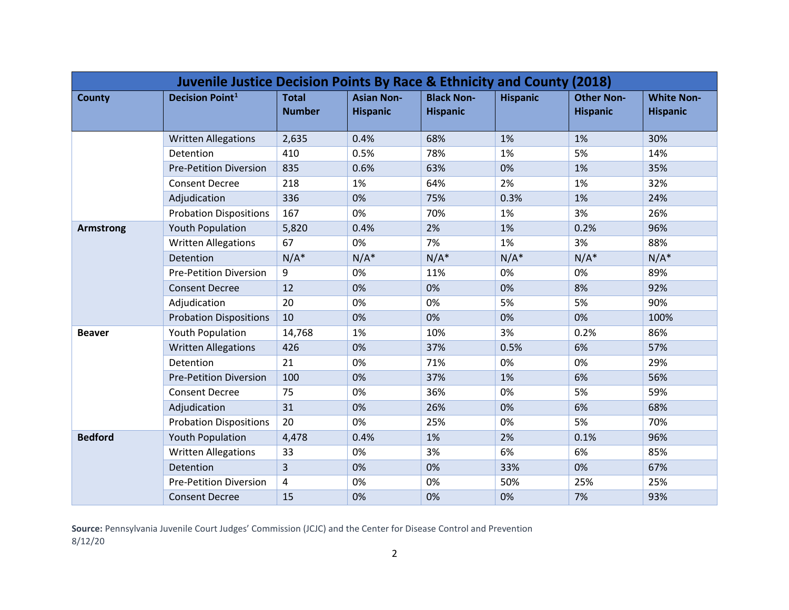| Juvenile Justice Decision Points By Race & Ethnicity and County (2018) |                               |                               |                                      |                                      |                 |                                      |                                      |  |  |
|------------------------------------------------------------------------|-------------------------------|-------------------------------|--------------------------------------|--------------------------------------|-----------------|--------------------------------------|--------------------------------------|--|--|
| <b>County</b>                                                          | <b>Decision Point1</b>        | <b>Total</b><br><b>Number</b> | <b>Asian Non-</b><br><b>Hispanic</b> | <b>Black Non-</b><br><b>Hispanic</b> | <b>Hispanic</b> | <b>Other Non-</b><br><b>Hispanic</b> | <b>White Non-</b><br><b>Hispanic</b> |  |  |
|                                                                        | <b>Written Allegations</b>    | 2,635                         | 0.4%                                 | 68%                                  | 1%              | 1%                                   | 30%                                  |  |  |
|                                                                        | Detention                     | 410                           | 0.5%                                 | 78%                                  | 1%              | 5%                                   | 14%                                  |  |  |
|                                                                        | <b>Pre-Petition Diversion</b> | 835                           | 0.6%                                 | 63%                                  | 0%              | 1%                                   | 35%                                  |  |  |
|                                                                        | <b>Consent Decree</b>         | 218                           | 1%                                   | 64%                                  | 2%              | 1%                                   | 32%                                  |  |  |
|                                                                        | Adjudication                  | 336                           | 0%                                   | 75%                                  | 0.3%            | 1%                                   | 24%                                  |  |  |
|                                                                        | <b>Probation Dispositions</b> | 167                           | 0%                                   | 70%                                  | 1%              | 3%                                   | 26%                                  |  |  |
| <b>Armstrong</b>                                                       | <b>Youth Population</b>       | 5,820                         | 0.4%                                 | 2%                                   | 1%              | 0.2%                                 | 96%                                  |  |  |
|                                                                        | <b>Written Allegations</b>    | 67                            | 0%                                   | 7%                                   | 1%              | 3%                                   | 88%                                  |  |  |
|                                                                        | Detention                     | $N/A^*$                       | $N/A^*$                              | $N/A^*$                              | $N/A^*$         | $N/A^*$                              | $N/A^*$                              |  |  |
|                                                                        | <b>Pre-Petition Diversion</b> | 9                             | 0%                                   | 11%                                  | 0%              | 0%                                   | 89%                                  |  |  |
|                                                                        | <b>Consent Decree</b>         | 12                            | 0%                                   | 0%                                   | 0%              | 8%                                   | 92%                                  |  |  |
|                                                                        | Adjudication                  | 20                            | 0%                                   | 0%                                   | 5%              | 5%                                   | 90%                                  |  |  |
|                                                                        | <b>Probation Dispositions</b> | 10                            | 0%                                   | 0%                                   | 0%              | 0%                                   | 100%                                 |  |  |
| <b>Beaver</b>                                                          | <b>Youth Population</b>       | 14,768                        | 1%                                   | 10%                                  | 3%              | 0.2%                                 | 86%                                  |  |  |
|                                                                        | <b>Written Allegations</b>    | 426                           | 0%                                   | 37%                                  | 0.5%            | 6%                                   | 57%                                  |  |  |
|                                                                        | Detention                     | 21                            | 0%                                   | 71%                                  | 0%              | 0%                                   | 29%                                  |  |  |
|                                                                        | <b>Pre-Petition Diversion</b> | 100                           | 0%                                   | 37%                                  | 1%              | 6%                                   | 56%                                  |  |  |
|                                                                        | <b>Consent Decree</b>         | 75                            | 0%                                   | 36%                                  | 0%              | 5%                                   | 59%                                  |  |  |
|                                                                        | Adjudication                  | 31                            | 0%                                   | 26%                                  | 0%              | 6%                                   | 68%                                  |  |  |
|                                                                        | <b>Probation Dispositions</b> | 20                            | 0%                                   | 25%                                  | 0%              | 5%                                   | 70%                                  |  |  |
| <b>Bedford</b>                                                         | <b>Youth Population</b>       | 4,478                         | 0.4%                                 | 1%                                   | 2%              | 0.1%                                 | 96%                                  |  |  |
|                                                                        | <b>Written Allegations</b>    | 33                            | 0%                                   | 3%                                   | 6%              | 6%                                   | 85%                                  |  |  |
|                                                                        | Detention                     | $\overline{3}$                | 0%                                   | 0%                                   | 33%             | 0%                                   | 67%                                  |  |  |
|                                                                        | <b>Pre-Petition Diversion</b> | 4                             | 0%                                   | 0%                                   | 50%             | 25%                                  | 25%                                  |  |  |
|                                                                        | <b>Consent Decree</b>         | 15                            | 0%                                   | 0%                                   | 0%              | 7%                                   | 93%                                  |  |  |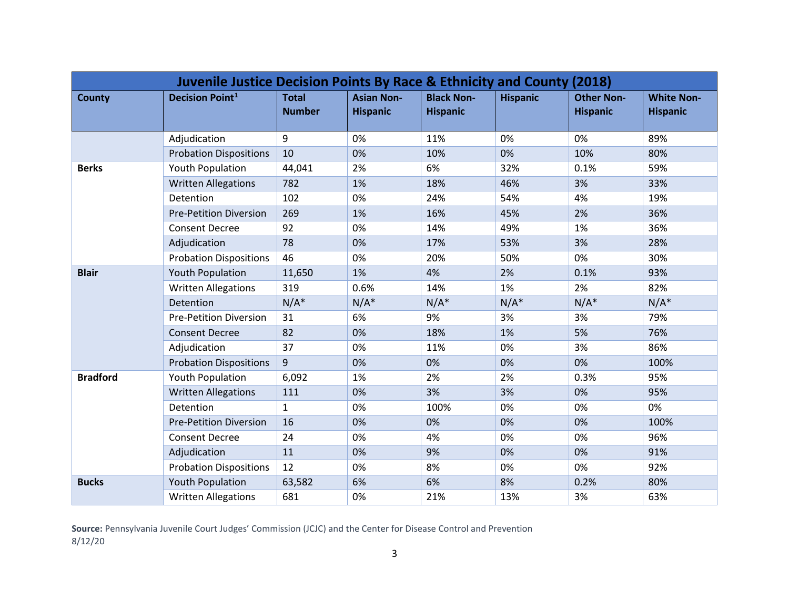| <b>Juvenile Justice Decision Points By Race &amp; Ethnicity and County (2018)</b> |                               |                               |                                      |                                      |                 |                                      |                                      |  |  |
|-----------------------------------------------------------------------------------|-------------------------------|-------------------------------|--------------------------------------|--------------------------------------|-----------------|--------------------------------------|--------------------------------------|--|--|
| <b>County</b>                                                                     | <b>Decision Point1</b>        | <b>Total</b><br><b>Number</b> | <b>Asian Non-</b><br><b>Hispanic</b> | <b>Black Non-</b><br><b>Hispanic</b> | <b>Hispanic</b> | <b>Other Non-</b><br><b>Hispanic</b> | <b>White Non-</b><br><b>Hispanic</b> |  |  |
|                                                                                   | Adjudication                  | 9                             | 0%                                   | 11%                                  | 0%              | 0%                                   | 89%                                  |  |  |
|                                                                                   | <b>Probation Dispositions</b> | 10                            | 0%                                   | 10%                                  | 0%              | 10%                                  | 80%                                  |  |  |
| <b>Berks</b>                                                                      | <b>Youth Population</b>       | 44,041                        | 2%                                   | 6%                                   | 32%             | 0.1%                                 | 59%                                  |  |  |
|                                                                                   | <b>Written Allegations</b>    | 782                           | 1%                                   | 18%                                  | 46%             | 3%                                   | 33%                                  |  |  |
|                                                                                   | Detention                     | 102                           | 0%                                   | 24%                                  | 54%             | 4%                                   | 19%                                  |  |  |
|                                                                                   | <b>Pre-Petition Diversion</b> | 269                           | 1%                                   | 16%                                  | 45%             | 2%                                   | 36%                                  |  |  |
|                                                                                   | <b>Consent Decree</b>         | 92                            | 0%                                   | 14%                                  | 49%             | 1%                                   | 36%                                  |  |  |
|                                                                                   | Adjudication                  | 78                            | 0%                                   | 17%                                  | 53%             | 3%                                   | 28%                                  |  |  |
|                                                                                   | <b>Probation Dispositions</b> | 46                            | 0%                                   | 20%                                  | 50%             | 0%                                   | 30%                                  |  |  |
| <b>Blair</b>                                                                      | <b>Youth Population</b>       | 11,650                        | 1%                                   | 4%                                   | 2%              | 0.1%                                 | 93%                                  |  |  |
|                                                                                   | <b>Written Allegations</b>    | 319                           | 0.6%                                 | 14%                                  | 1%              | 2%                                   | 82%                                  |  |  |
|                                                                                   | Detention                     | $N/A^*$                       | $N/A^*$                              | $N/A^*$                              | $N/A^*$         | $N/A^*$                              | $N/A^*$                              |  |  |
|                                                                                   | <b>Pre-Petition Diversion</b> | 31                            | 6%                                   | 9%                                   | 3%              | 3%                                   | 79%                                  |  |  |
|                                                                                   | <b>Consent Decree</b>         | 82                            | 0%                                   | 18%                                  | 1%              | 5%                                   | 76%                                  |  |  |
|                                                                                   | Adjudication                  | 37                            | 0%                                   | 11%                                  | 0%              | 3%                                   | 86%                                  |  |  |
|                                                                                   | <b>Probation Dispositions</b> | 9                             | 0%                                   | 0%                                   | 0%              | 0%                                   | 100%                                 |  |  |
| <b>Bradford</b>                                                                   | <b>Youth Population</b>       | 6,092                         | 1%                                   | 2%                                   | 2%              | 0.3%                                 | 95%                                  |  |  |
|                                                                                   | <b>Written Allegations</b>    | 111                           | 0%                                   | 3%                                   | 3%              | 0%                                   | 95%                                  |  |  |
|                                                                                   | Detention                     | $\mathbf{1}$                  | 0%                                   | 100%                                 | 0%              | 0%                                   | 0%                                   |  |  |
|                                                                                   | <b>Pre-Petition Diversion</b> | 16                            | 0%                                   | 0%                                   | 0%              | 0%                                   | 100%                                 |  |  |
|                                                                                   | <b>Consent Decree</b>         | 24                            | 0%                                   | 4%                                   | 0%              | 0%                                   | 96%                                  |  |  |
|                                                                                   | Adjudication                  | 11                            | 0%                                   | 9%                                   | 0%              | 0%                                   | 91%                                  |  |  |
|                                                                                   | <b>Probation Dispositions</b> | 12                            | 0%                                   | 8%                                   | 0%              | 0%                                   | 92%                                  |  |  |
| <b>Bucks</b>                                                                      | <b>Youth Population</b>       | 63,582                        | 6%                                   | 6%                                   | 8%              | 0.2%                                 | 80%                                  |  |  |
|                                                                                   | <b>Written Allegations</b>    | 681                           | 0%                                   | 21%                                  | 13%             | 3%                                   | 63%                                  |  |  |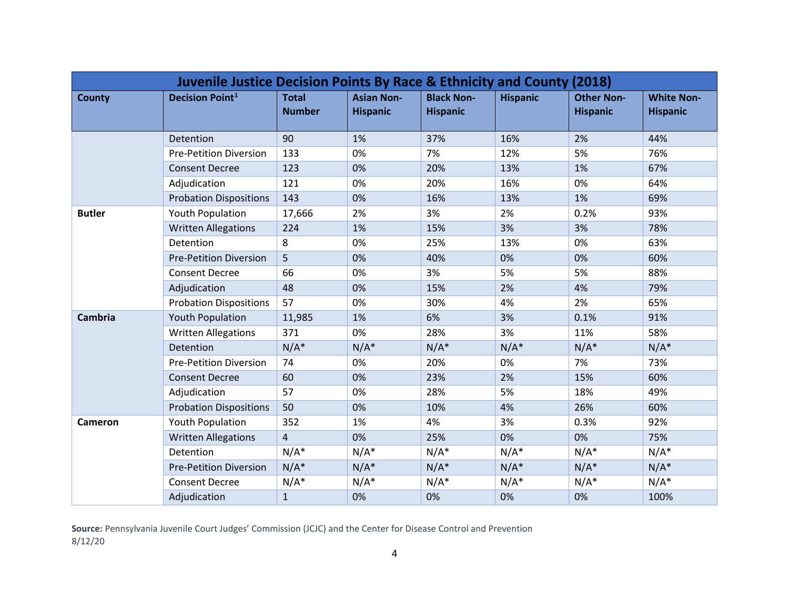| <b>Juvenile Justice Decision Points By Race &amp; Ethnicity and County (2018)</b> |                               |                               |                                      |                                      |                 |                                      |                                      |  |  |
|-----------------------------------------------------------------------------------|-------------------------------|-------------------------------|--------------------------------------|--------------------------------------|-----------------|--------------------------------------|--------------------------------------|--|--|
| <b>County</b>                                                                     | <b>Decision Point1</b>        | <b>Total</b><br><b>Number</b> | <b>Asian Non-</b><br><b>Hispanic</b> | <b>Black Non-</b><br><b>Hispanic</b> | <b>Hispanic</b> | <b>Other Non-</b><br><b>Hispanic</b> | <b>White Non-</b><br><b>Hispanic</b> |  |  |
|                                                                                   | Detention                     | 90                            | 1%                                   | 37%                                  | 16%             | 2%                                   | 44%                                  |  |  |
|                                                                                   | <b>Pre-Petition Diversion</b> | 133                           | 0%                                   | 7%                                   | 12%             | 5%                                   | 76%                                  |  |  |
|                                                                                   | <b>Consent Decree</b>         | 123                           | 0%                                   | 20%                                  | 13%             | 1%                                   | 67%                                  |  |  |
|                                                                                   | Adjudication                  | 121                           | 0%                                   | 20%                                  | 16%             | 0%                                   | 64%                                  |  |  |
|                                                                                   | <b>Probation Dispositions</b> | 143                           | 0%                                   | 16%                                  | 13%             | 1%                                   | 69%                                  |  |  |
| <b>Butler</b>                                                                     | Youth Population              | 17,666                        | 2%                                   | 3%                                   | 2%              | 0.2%                                 | 93%                                  |  |  |
|                                                                                   | <b>Written Allegations</b>    | 224                           | 1%                                   | 15%                                  | 3%              | 3%                                   | 78%                                  |  |  |
|                                                                                   | Detention                     | 8                             | 0%                                   | 25%                                  | 13%             | 0%                                   | 63%                                  |  |  |
|                                                                                   | <b>Pre-Petition Diversion</b> | 5                             | 0%                                   | 40%                                  | 0%              | 0%                                   | 60%                                  |  |  |
|                                                                                   | <b>Consent Decree</b>         | 66                            | 0%                                   | 3%                                   | 5%              | 5%                                   | 88%                                  |  |  |
|                                                                                   | Adjudication                  | 48                            | 0%                                   | 15%                                  | 2%              | 4%                                   | 79%                                  |  |  |
|                                                                                   | <b>Probation Dispositions</b> | 57                            | 0%                                   | 30%                                  | 4%              | 2%                                   | 65%                                  |  |  |
| <b>Cambria</b>                                                                    | <b>Youth Population</b>       | 11,985                        | 1%                                   | 6%                                   | 3%              | 0.1%                                 | 91%                                  |  |  |
|                                                                                   | <b>Written Allegations</b>    | 371                           | 0%                                   | 28%                                  | 3%              | 11%                                  | 58%                                  |  |  |
|                                                                                   | Detention                     | $N/A^*$                       | $N/A^*$                              | $N/A^*$                              | $N/A^*$         | $N/A^*$                              | $N/A^*$                              |  |  |
|                                                                                   | <b>Pre-Petition Diversion</b> | 74                            | 0%                                   | 20%                                  | 0%              | 7%                                   | 73%                                  |  |  |
|                                                                                   | <b>Consent Decree</b>         | 60                            | 0%                                   | 23%                                  | 2%              | 15%                                  | 60%                                  |  |  |
|                                                                                   | Adjudication                  | 57                            | 0%                                   | 28%                                  | 5%              | 18%                                  | 49%                                  |  |  |
|                                                                                   | <b>Probation Dispositions</b> | 50                            | 0%                                   | 10%                                  | 4%              | 26%                                  | 60%                                  |  |  |
| Cameron                                                                           | <b>Youth Population</b>       | 352                           | 1%                                   | 4%                                   | 3%              | 0.3%                                 | 92%                                  |  |  |
|                                                                                   | <b>Written Allegations</b>    | $\overline{4}$                | 0%                                   | 25%                                  | 0%              | 0%                                   | 75%                                  |  |  |
|                                                                                   | Detention                     | $N/A^*$                       | $N/A^*$                              | $N/A^*$                              | $N/A^*$         | $N/A^*$                              | $N/A^*$                              |  |  |
|                                                                                   | <b>Pre-Petition Diversion</b> | $N/A^*$                       | $N/A^*$                              | $N/A^*$                              | $N/A^*$         | $N/A^*$                              | $N/A^*$                              |  |  |
|                                                                                   | <b>Consent Decree</b>         | $N/A^*$                       | $N/A^*$                              | $N/A^*$                              | $N/A^*$         | $N/A^*$                              | $N/A^*$                              |  |  |
|                                                                                   | Adjudication                  | $\mathbf{1}$                  | 0%                                   | 0%                                   | 0%              | 0%                                   | 100%                                 |  |  |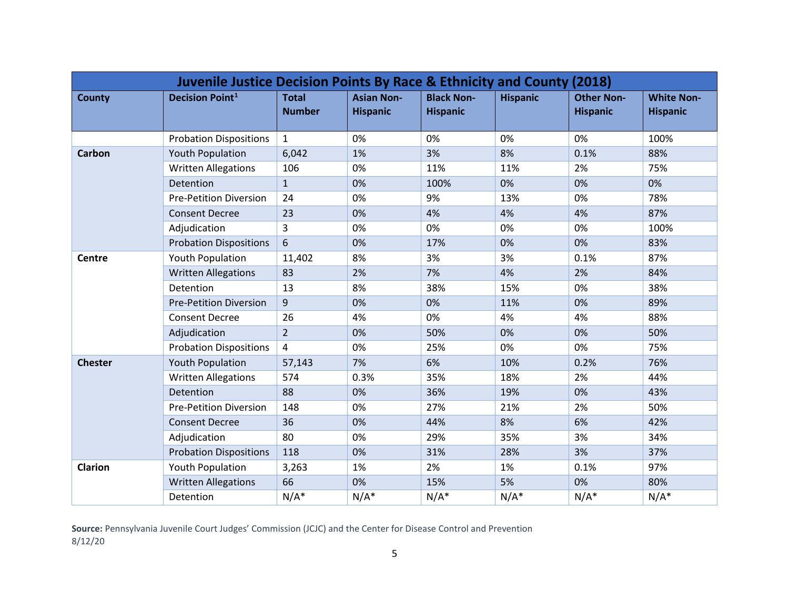| Juvenile Justice Decision Points By Race & Ethnicity and County (2018) |                               |                               |                                      |                                      |                 |                                      |                                      |  |  |
|------------------------------------------------------------------------|-------------------------------|-------------------------------|--------------------------------------|--------------------------------------|-----------------|--------------------------------------|--------------------------------------|--|--|
| <b>County</b>                                                          | <b>Decision Point1</b>        | <b>Total</b><br><b>Number</b> | <b>Asian Non-</b><br><b>Hispanic</b> | <b>Black Non-</b><br><b>Hispanic</b> | <b>Hispanic</b> | <b>Other Non-</b><br><b>Hispanic</b> | <b>White Non-</b><br><b>Hispanic</b> |  |  |
|                                                                        | <b>Probation Dispositions</b> | $\mathbf{1}$                  | 0%                                   | 0%                                   | 0%              | 0%                                   | 100%                                 |  |  |
| <b>Carbon</b>                                                          | <b>Youth Population</b>       | 6,042                         | 1%                                   | 3%                                   | 8%              | 0.1%                                 | 88%                                  |  |  |
|                                                                        | <b>Written Allegations</b>    | 106                           | 0%                                   | 11%                                  | 11%             | 2%                                   | 75%                                  |  |  |
|                                                                        | Detention                     | $\mathbf{1}$                  | 0%                                   | 100%                                 | 0%              | 0%                                   | 0%                                   |  |  |
|                                                                        | <b>Pre-Petition Diversion</b> | 24                            | 0%                                   | 9%                                   | 13%             | 0%                                   | 78%                                  |  |  |
|                                                                        | <b>Consent Decree</b>         | 23                            | 0%                                   | 4%                                   | 4%              | 4%                                   | 87%                                  |  |  |
|                                                                        | Adjudication                  | $\overline{3}$                | 0%                                   | 0%                                   | 0%              | 0%                                   | 100%                                 |  |  |
|                                                                        | <b>Probation Dispositions</b> | 6                             | 0%                                   | 17%                                  | 0%              | 0%                                   | 83%                                  |  |  |
| <b>Centre</b>                                                          | Youth Population              | 11,402                        | 8%                                   | 3%                                   | 3%              | 0.1%                                 | 87%                                  |  |  |
|                                                                        | <b>Written Allegations</b>    | 83                            | 2%                                   | 7%                                   | 4%              | 2%                                   | 84%                                  |  |  |
|                                                                        | Detention                     | 13                            | 8%                                   | 38%                                  | 15%             | 0%                                   | 38%                                  |  |  |
|                                                                        | <b>Pre-Petition Diversion</b> | $\overline{9}$                | 0%                                   | 0%                                   | 11%             | 0%                                   | 89%                                  |  |  |
|                                                                        | <b>Consent Decree</b>         | 26                            | 4%                                   | 0%                                   | 4%              | 4%                                   | 88%                                  |  |  |
|                                                                        | Adjudication                  | $\overline{2}$                | 0%                                   | 50%                                  | 0%              | 0%                                   | 50%                                  |  |  |
|                                                                        | <b>Probation Dispositions</b> | $\overline{4}$                | 0%                                   | 25%                                  | 0%              | 0%                                   | 75%                                  |  |  |
| <b>Chester</b>                                                         | <b>Youth Population</b>       | 57,143                        | 7%                                   | 6%                                   | 10%             | 0.2%                                 | 76%                                  |  |  |
|                                                                        | <b>Written Allegations</b>    | 574                           | 0.3%                                 | 35%                                  | 18%             | 2%                                   | 44%                                  |  |  |
|                                                                        | Detention                     | 88                            | 0%                                   | 36%                                  | 19%             | 0%                                   | 43%                                  |  |  |
|                                                                        | <b>Pre-Petition Diversion</b> | 148                           | 0%                                   | 27%                                  | 21%             | 2%                                   | 50%                                  |  |  |
|                                                                        | <b>Consent Decree</b>         | 36                            | 0%                                   | 44%                                  | 8%              | 6%                                   | 42%                                  |  |  |
|                                                                        | Adjudication                  | 80                            | 0%                                   | 29%                                  | 35%             | 3%                                   | 34%                                  |  |  |
|                                                                        | <b>Probation Dispositions</b> | 118                           | 0%                                   | 31%                                  | 28%             | 3%                                   | 37%                                  |  |  |
| <b>Clarion</b>                                                         | Youth Population              | 3,263                         | 1%                                   | 2%                                   | 1%              | 0.1%                                 | 97%                                  |  |  |
|                                                                        | <b>Written Allegations</b>    | 66                            | 0%                                   | 15%                                  | 5%              | 0%                                   | 80%                                  |  |  |
|                                                                        | Detention                     | $N/A^*$                       | $N/A^*$                              | $N/A^*$                              | $N/A^*$         | $N/A^*$                              | $N/A^*$                              |  |  |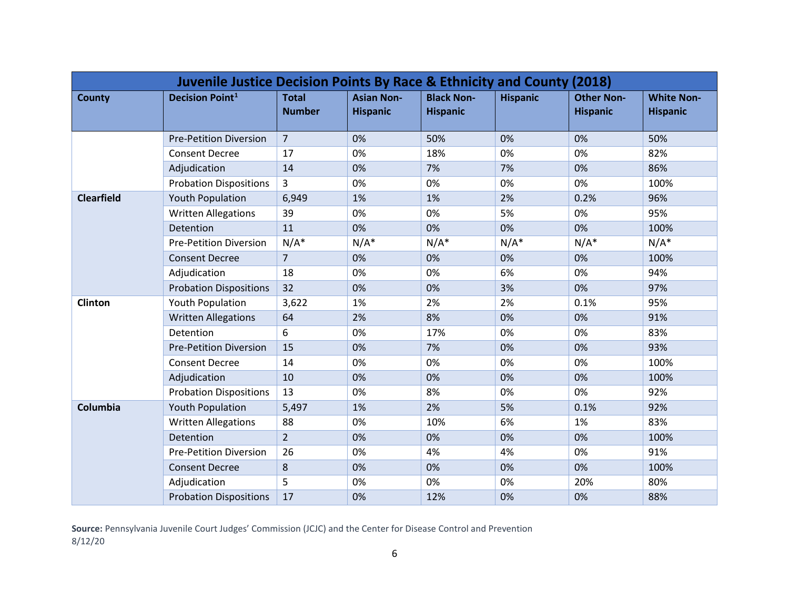| Juvenile Justice Decision Points By Race & Ethnicity and County (2018) |                               |                               |                                      |                                      |                 |                                      |                                      |  |  |
|------------------------------------------------------------------------|-------------------------------|-------------------------------|--------------------------------------|--------------------------------------|-----------------|--------------------------------------|--------------------------------------|--|--|
| <b>County</b>                                                          | <b>Decision Point1</b>        | <b>Total</b><br><b>Number</b> | <b>Asian Non-</b><br><b>Hispanic</b> | <b>Black Non-</b><br><b>Hispanic</b> | <b>Hispanic</b> | <b>Other Non-</b><br><b>Hispanic</b> | <b>White Non-</b><br><b>Hispanic</b> |  |  |
|                                                                        | <b>Pre-Petition Diversion</b> | $\overline{7}$                | 0%                                   | 50%                                  | 0%              | 0%                                   | 50%                                  |  |  |
|                                                                        | <b>Consent Decree</b>         | 17                            | 0%                                   | 18%                                  | 0%              | 0%                                   | 82%                                  |  |  |
|                                                                        | Adjudication                  | 14                            | 0%                                   | 7%                                   | 7%              | 0%                                   | 86%                                  |  |  |
|                                                                        | <b>Probation Dispositions</b> | 3                             | 0%                                   | 0%                                   | 0%              | 0%                                   | 100%                                 |  |  |
| <b>Clearfield</b>                                                      | <b>Youth Population</b>       | 6,949                         | 1%                                   | 1%                                   | 2%              | 0.2%                                 | 96%                                  |  |  |
|                                                                        | <b>Written Allegations</b>    | 39                            | 0%                                   | 0%                                   | 5%              | 0%                                   | 95%                                  |  |  |
|                                                                        | Detention                     | 11                            | 0%                                   | 0%                                   | 0%              | 0%                                   | 100%                                 |  |  |
|                                                                        | <b>Pre-Petition Diversion</b> | $N/A^*$                       | $N/A^*$                              | $N/A^*$                              | $N/A^*$         | $N/A^*$                              | $N/A^*$                              |  |  |
|                                                                        | <b>Consent Decree</b>         | $\overline{7}$                | 0%                                   | 0%                                   | 0%              | 0%                                   | 100%                                 |  |  |
|                                                                        | Adjudication                  | 18                            | 0%                                   | 0%                                   | 6%              | 0%                                   | 94%                                  |  |  |
|                                                                        | <b>Probation Dispositions</b> | 32                            | 0%                                   | 0%                                   | 3%              | 0%                                   | 97%                                  |  |  |
| Clinton                                                                | Youth Population              | 3,622                         | 1%                                   | 2%                                   | 2%              | 0.1%                                 | 95%                                  |  |  |
|                                                                        | <b>Written Allegations</b>    | 64                            | 2%                                   | 8%                                   | 0%              | 0%                                   | 91%                                  |  |  |
|                                                                        | Detention                     | 6                             | 0%                                   | 17%                                  | 0%              | 0%                                   | 83%                                  |  |  |
|                                                                        | <b>Pre-Petition Diversion</b> | 15                            | 0%                                   | 7%                                   | 0%              | 0%                                   | 93%                                  |  |  |
|                                                                        | <b>Consent Decree</b>         | 14                            | 0%                                   | 0%                                   | 0%              | 0%                                   | 100%                                 |  |  |
|                                                                        | Adjudication                  | 10                            | 0%                                   | 0%                                   | 0%              | 0%                                   | 100%                                 |  |  |
|                                                                        | <b>Probation Dispositions</b> | 13                            | 0%                                   | 8%                                   | 0%              | 0%                                   | 92%                                  |  |  |
| Columbia                                                               | <b>Youth Population</b>       | 5,497                         | 1%                                   | 2%                                   | 5%              | 0.1%                                 | 92%                                  |  |  |
|                                                                        | <b>Written Allegations</b>    | 88                            | 0%                                   | 10%                                  | 6%              | 1%                                   | 83%                                  |  |  |
|                                                                        | Detention                     | $\overline{2}$                | 0%                                   | 0%                                   | 0%              | 0%                                   | 100%                                 |  |  |
|                                                                        | <b>Pre-Petition Diversion</b> | 26                            | 0%                                   | 4%                                   | 4%              | 0%                                   | 91%                                  |  |  |
|                                                                        | <b>Consent Decree</b>         | 8                             | 0%                                   | 0%                                   | 0%              | 0%                                   | 100%                                 |  |  |
|                                                                        | Adjudication                  | 5                             | 0%                                   | 0%                                   | 0%              | 20%                                  | 80%                                  |  |  |
|                                                                        | <b>Probation Dispositions</b> | 17                            | 0%                                   | 12%                                  | 0%              | 0%                                   | 88%                                  |  |  |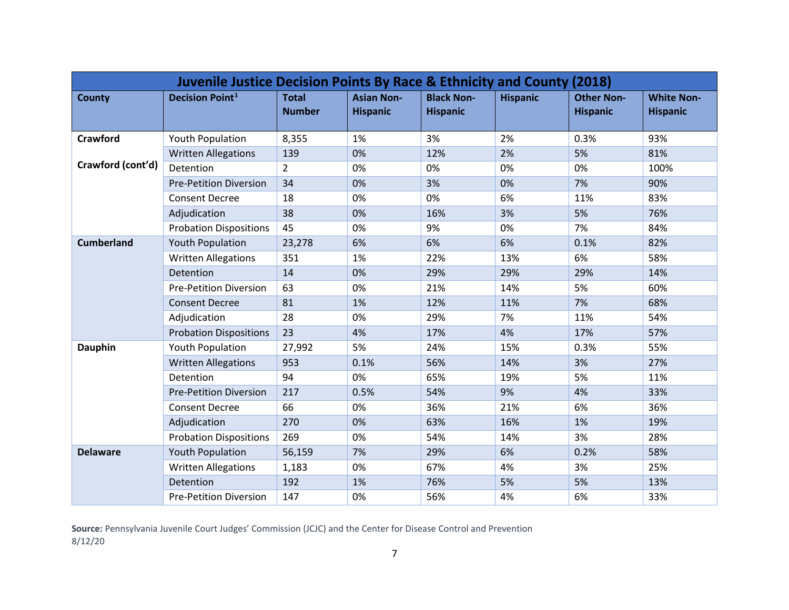| Juvenile Justice Decision Points By Race & Ethnicity and County (2018) |                               |                               |                                      |                                      |                 |                                      |                                      |  |  |
|------------------------------------------------------------------------|-------------------------------|-------------------------------|--------------------------------------|--------------------------------------|-----------------|--------------------------------------|--------------------------------------|--|--|
| <b>County</b>                                                          | <b>Decision Point1</b>        | <b>Total</b><br><b>Number</b> | <b>Asian Non-</b><br><b>Hispanic</b> | <b>Black Non-</b><br><b>Hispanic</b> | <b>Hispanic</b> | <b>Other Non-</b><br><b>Hispanic</b> | <b>White Non-</b><br><b>Hispanic</b> |  |  |
| Crawford                                                               | <b>Youth Population</b>       | 8,355                         | 1%                                   | 3%                                   | 2%              | 0.3%                                 | 93%                                  |  |  |
|                                                                        | <b>Written Allegations</b>    | 139                           | 0%                                   | 12%                                  | 2%              | 5%                                   | 81%                                  |  |  |
| Crawford (cont'd)                                                      | Detention                     | $\overline{2}$                | 0%                                   | 0%                                   | 0%              | 0%                                   | 100%                                 |  |  |
|                                                                        | <b>Pre-Petition Diversion</b> | 34                            | 0%                                   | 3%                                   | 0%              | 7%                                   | 90%                                  |  |  |
|                                                                        | <b>Consent Decree</b>         | 18                            | 0%                                   | 0%                                   | 6%              | 11%                                  | 83%                                  |  |  |
|                                                                        | Adjudication                  | 38                            | 0%                                   | 16%                                  | 3%              | 5%                                   | 76%                                  |  |  |
|                                                                        | <b>Probation Dispositions</b> | 45                            | 0%                                   | 9%                                   | 0%              | 7%                                   | 84%                                  |  |  |
| <b>Cumberland</b>                                                      | <b>Youth Population</b>       | 23,278                        | 6%                                   | 6%                                   | 6%              | 0.1%                                 | 82%                                  |  |  |
|                                                                        | <b>Written Allegations</b>    | 351                           | 1%                                   | 22%                                  | 13%             | 6%                                   | 58%                                  |  |  |
|                                                                        | Detention                     | 14                            | 0%                                   | 29%                                  | 29%             | 29%                                  | 14%                                  |  |  |
|                                                                        | <b>Pre-Petition Diversion</b> | 63                            | 0%                                   | 21%                                  | 14%             | 5%                                   | 60%                                  |  |  |
|                                                                        | <b>Consent Decree</b>         | 81                            | 1%                                   | 12%                                  | 11%             | 7%                                   | 68%                                  |  |  |
|                                                                        | Adjudication                  | 28                            | 0%                                   | 29%                                  | 7%              | 11%                                  | 54%                                  |  |  |
|                                                                        | <b>Probation Dispositions</b> | 23                            | 4%                                   | 17%                                  | 4%              | 17%                                  | 57%                                  |  |  |
| <b>Dauphin</b>                                                         | Youth Population              | 27,992                        | 5%                                   | 24%                                  | 15%             | 0.3%                                 | 55%                                  |  |  |
|                                                                        | <b>Written Allegations</b>    | 953                           | 0.1%                                 | 56%                                  | 14%             | 3%                                   | 27%                                  |  |  |
|                                                                        | Detention                     | 94                            | 0%                                   | 65%                                  | 19%             | 5%                                   | 11%                                  |  |  |
|                                                                        | <b>Pre-Petition Diversion</b> | 217                           | 0.5%                                 | 54%                                  | 9%              | 4%                                   | 33%                                  |  |  |
|                                                                        | <b>Consent Decree</b>         | 66                            | 0%                                   | 36%                                  | 21%             | 6%                                   | 36%                                  |  |  |
|                                                                        | Adjudication                  | 270                           | 0%                                   | 63%                                  | 16%             | 1%                                   | 19%                                  |  |  |
|                                                                        | <b>Probation Dispositions</b> | 269                           | 0%                                   | 54%                                  | 14%             | 3%                                   | 28%                                  |  |  |
| <b>Delaware</b>                                                        | <b>Youth Population</b>       | 56,159                        | 7%                                   | 29%                                  | 6%              | 0.2%                                 | 58%                                  |  |  |
|                                                                        | <b>Written Allegations</b>    | 1,183                         | 0%                                   | 67%                                  | 4%              | 3%                                   | 25%                                  |  |  |
|                                                                        | Detention                     | 192                           | 1%                                   | 76%                                  | 5%              | 5%                                   | 13%                                  |  |  |
|                                                                        | <b>Pre-Petition Diversion</b> | 147                           | 0%                                   | 56%                                  | 4%              | 6%                                   | 33%                                  |  |  |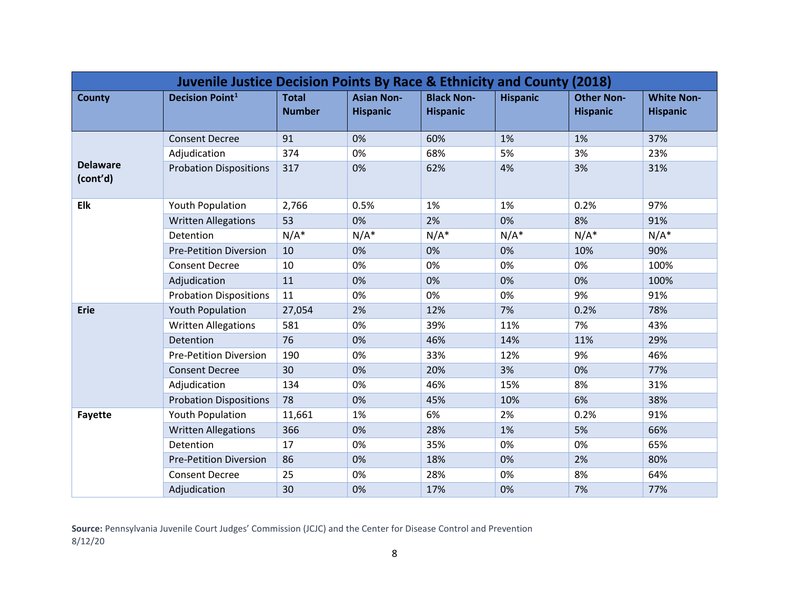| <b>Juvenile Justice Decision Points By Race &amp; Ethnicity and County (2018)</b> |                               |                               |                                      |                                      |                 |                                      |                                      |  |  |
|-----------------------------------------------------------------------------------|-------------------------------|-------------------------------|--------------------------------------|--------------------------------------|-----------------|--------------------------------------|--------------------------------------|--|--|
| <b>County</b>                                                                     | <b>Decision Point1</b>        | <b>Total</b><br><b>Number</b> | <b>Asian Non-</b><br><b>Hispanic</b> | <b>Black Non-</b><br><b>Hispanic</b> | <b>Hispanic</b> | <b>Other Non-</b><br><b>Hispanic</b> | <b>White Non-</b><br><b>Hispanic</b> |  |  |
|                                                                                   | <b>Consent Decree</b>         | 91                            | 0%                                   | 60%                                  | 1%              | 1%                                   | 37%                                  |  |  |
|                                                                                   | Adjudication                  | 374                           | 0%                                   | 68%                                  | 5%              | 3%                                   | 23%                                  |  |  |
| <b>Delaware</b><br>(cont'd)                                                       | <b>Probation Dispositions</b> | 317                           | 0%                                   | 62%                                  | 4%              | 3%                                   | 31%                                  |  |  |
| <b>Elk</b>                                                                        | <b>Youth Population</b>       | 2,766                         | 0.5%                                 | 1%                                   | 1%              | 0.2%                                 | 97%                                  |  |  |
|                                                                                   | <b>Written Allegations</b>    | 53                            | 0%                                   | 2%                                   | 0%              | 8%                                   | 91%                                  |  |  |
|                                                                                   | Detention                     | $N/A^*$                       | $N/A^*$                              | $N/A^*$                              | $N/A^*$         | $N/A^*$                              | $N/A^*$                              |  |  |
|                                                                                   | <b>Pre-Petition Diversion</b> | 10                            | 0%                                   | 0%                                   | 0%              | 10%                                  | 90%                                  |  |  |
|                                                                                   | <b>Consent Decree</b>         | 10                            | 0%                                   | 0%                                   | 0%              | 0%                                   | 100%                                 |  |  |
|                                                                                   | Adjudication                  | 11                            | 0%                                   | 0%                                   | 0%              | 0%                                   | 100%                                 |  |  |
|                                                                                   | <b>Probation Dispositions</b> | 11                            | 0%                                   | 0%                                   | 0%              | 9%                                   | 91%                                  |  |  |
| Erie                                                                              | <b>Youth Population</b>       | 27,054                        | 2%                                   | 12%                                  | 7%              | 0.2%                                 | 78%                                  |  |  |
|                                                                                   | <b>Written Allegations</b>    | 581                           | 0%                                   | 39%                                  | 11%             | 7%                                   | 43%                                  |  |  |
|                                                                                   | Detention                     | 76                            | 0%                                   | 46%                                  | 14%             | 11%                                  | 29%                                  |  |  |
|                                                                                   | <b>Pre-Petition Diversion</b> | 190                           | 0%                                   | 33%                                  | 12%             | 9%                                   | 46%                                  |  |  |
|                                                                                   | <b>Consent Decree</b>         | 30                            | 0%                                   | 20%                                  | 3%              | 0%                                   | 77%                                  |  |  |
|                                                                                   | Adjudication                  | 134                           | 0%                                   | 46%                                  | 15%             | 8%                                   | 31%                                  |  |  |
|                                                                                   | <b>Probation Dispositions</b> | 78                            | 0%                                   | 45%                                  | 10%             | 6%                                   | 38%                                  |  |  |
| <b>Fayette</b>                                                                    | Youth Population              | 11,661                        | 1%                                   | 6%                                   | 2%              | 0.2%                                 | 91%                                  |  |  |
|                                                                                   | <b>Written Allegations</b>    | 366                           | 0%                                   | 28%                                  | 1%              | 5%                                   | 66%                                  |  |  |
|                                                                                   | Detention                     | 17                            | 0%                                   | 35%                                  | 0%              | 0%                                   | 65%                                  |  |  |
|                                                                                   | <b>Pre-Petition Diversion</b> | 86                            | 0%                                   | 18%                                  | 0%              | 2%                                   | 80%                                  |  |  |
|                                                                                   | <b>Consent Decree</b>         | 25                            | 0%                                   | 28%                                  | 0%              | 8%                                   | 64%                                  |  |  |
|                                                                                   | Adjudication                  | 30                            | 0%                                   | 17%                                  | 0%              | 7%                                   | 77%                                  |  |  |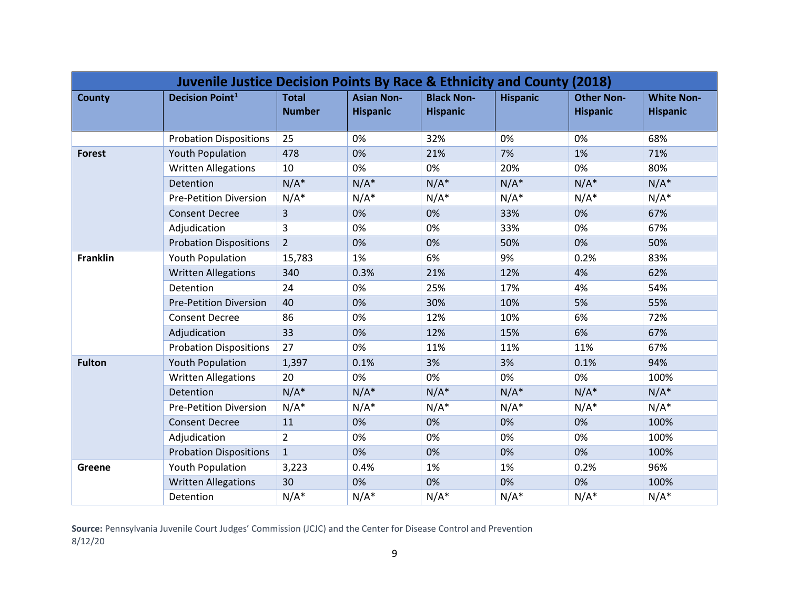| <b>Juvenile Justice Decision Points By Race &amp; Ethnicity and County (2018)</b> |                               |                               |                                      |                                      |                 |                                      |                                      |  |  |
|-----------------------------------------------------------------------------------|-------------------------------|-------------------------------|--------------------------------------|--------------------------------------|-----------------|--------------------------------------|--------------------------------------|--|--|
| <b>County</b>                                                                     | <b>Decision Point1</b>        | <b>Total</b><br><b>Number</b> | <b>Asian Non-</b><br><b>Hispanic</b> | <b>Black Non-</b><br><b>Hispanic</b> | <b>Hispanic</b> | <b>Other Non-</b><br><b>Hispanic</b> | <b>White Non-</b><br><b>Hispanic</b> |  |  |
|                                                                                   | <b>Probation Dispositions</b> | 25                            | 0%                                   | 32%                                  | 0%              | 0%                                   | 68%                                  |  |  |
| <b>Forest</b>                                                                     | <b>Youth Population</b>       | 478                           | 0%                                   | 21%                                  | 7%              | 1%                                   | 71%                                  |  |  |
|                                                                                   | <b>Written Allegations</b>    | 10                            | 0%                                   | 0%                                   | 20%             | 0%                                   | 80%                                  |  |  |
|                                                                                   | Detention                     | $N/A^*$                       | $N/A^*$                              | $N/A^*$                              | $N/A^*$         | $N/A^*$                              | $N/A^*$                              |  |  |
|                                                                                   | <b>Pre-Petition Diversion</b> | $N/A^*$                       | $N/A^*$                              | $N/A^*$                              | $N/A^*$         | $N/A^*$                              | $N/A^*$                              |  |  |
|                                                                                   | <b>Consent Decree</b>         | $\overline{3}$                | 0%                                   | 0%                                   | 33%             | 0%                                   | 67%                                  |  |  |
|                                                                                   | Adjudication                  | $\overline{3}$                | 0%                                   | 0%                                   | 33%             | 0%                                   | 67%                                  |  |  |
|                                                                                   | <b>Probation Dispositions</b> | $\overline{2}$                | 0%                                   | 0%                                   | 50%             | 0%                                   | 50%                                  |  |  |
| <b>Franklin</b>                                                                   | Youth Population              | 15,783                        | 1%                                   | 6%                                   | 9%              | 0.2%                                 | 83%                                  |  |  |
|                                                                                   | <b>Written Allegations</b>    | 340                           | 0.3%                                 | 21%                                  | 12%             | 4%                                   | 62%                                  |  |  |
|                                                                                   | Detention                     | 24                            | 0%                                   | 25%                                  | 17%             | 4%                                   | 54%                                  |  |  |
|                                                                                   | <b>Pre-Petition Diversion</b> | 40                            | 0%                                   | 30%                                  | 10%             | 5%                                   | 55%                                  |  |  |
|                                                                                   | <b>Consent Decree</b>         | 86                            | 0%                                   | 12%                                  | 10%             | 6%                                   | 72%                                  |  |  |
|                                                                                   | Adjudication                  | 33                            | 0%                                   | 12%                                  | 15%             | 6%                                   | 67%                                  |  |  |
|                                                                                   | <b>Probation Dispositions</b> | 27                            | 0%                                   | 11%                                  | 11%             | 11%                                  | 67%                                  |  |  |
| <b>Fulton</b>                                                                     | <b>Youth Population</b>       | 1,397                         | 0.1%                                 | 3%                                   | 3%              | 0.1%                                 | 94%                                  |  |  |
|                                                                                   | <b>Written Allegations</b>    | 20                            | 0%                                   | 0%                                   | 0%              | 0%                                   | 100%                                 |  |  |
|                                                                                   | Detention                     | $N/A^*$                       | $N/A^*$                              | $N/A^*$                              | $N/A^*$         | $N/A^*$                              | $N/A^*$                              |  |  |
|                                                                                   | <b>Pre-Petition Diversion</b> | $N/A^*$                       | $N/A^*$                              | $N/A^*$                              | $N/A^*$         | $N/A^*$                              | $N/A^*$                              |  |  |
|                                                                                   | <b>Consent Decree</b>         | 11                            | 0%                                   | 0%                                   | 0%              | 0%                                   | 100%                                 |  |  |
|                                                                                   | Adjudication                  | $\overline{2}$                | 0%                                   | 0%                                   | 0%              | 0%                                   | 100%                                 |  |  |
|                                                                                   | <b>Probation Dispositions</b> | $\mathbf{1}$                  | 0%                                   | 0%                                   | 0%              | 0%                                   | 100%                                 |  |  |
| Greene                                                                            | Youth Population              | 3,223                         | 0.4%                                 | 1%                                   | 1%              | 0.2%                                 | 96%                                  |  |  |
|                                                                                   | <b>Written Allegations</b>    | 30                            | 0%                                   | 0%                                   | 0%              | 0%                                   | 100%                                 |  |  |
|                                                                                   | Detention                     | $N/A^*$                       | $N/A^*$                              | $N/A^*$                              | $N/A^*$         | $N/A^*$                              | $N/A^*$                              |  |  |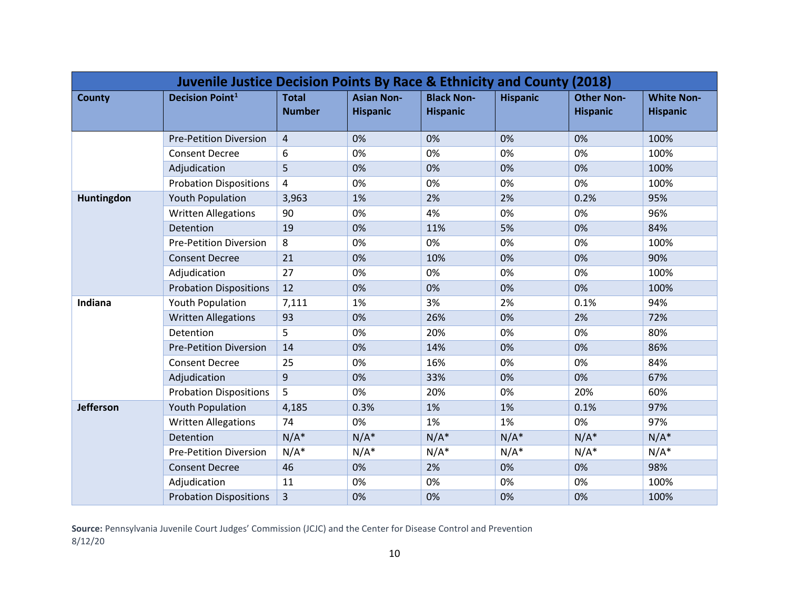| Juvenile Justice Decision Points By Race & Ethnicity and County (2018) |                               |                               |                                      |                                      |                 |                                      |                                      |  |  |
|------------------------------------------------------------------------|-------------------------------|-------------------------------|--------------------------------------|--------------------------------------|-----------------|--------------------------------------|--------------------------------------|--|--|
| <b>County</b>                                                          | <b>Decision Point1</b>        | <b>Total</b><br><b>Number</b> | <b>Asian Non-</b><br><b>Hispanic</b> | <b>Black Non-</b><br><b>Hispanic</b> | <b>Hispanic</b> | <b>Other Non-</b><br><b>Hispanic</b> | <b>White Non-</b><br><b>Hispanic</b> |  |  |
|                                                                        | <b>Pre-Petition Diversion</b> | 4                             | 0%                                   | 0%                                   | 0%              | 0%                                   | 100%                                 |  |  |
|                                                                        | <b>Consent Decree</b>         | 6                             | 0%                                   | 0%                                   | 0%              | 0%                                   | 100%                                 |  |  |
|                                                                        | Adjudication                  | 5                             | 0%                                   | 0%                                   | 0%              | 0%                                   | 100%                                 |  |  |
|                                                                        | <b>Probation Dispositions</b> | 4                             | 0%                                   | 0%                                   | 0%              | 0%                                   | 100%                                 |  |  |
| Huntingdon                                                             | <b>Youth Population</b>       | 3,963                         | 1%                                   | 2%                                   | 2%              | 0.2%                                 | 95%                                  |  |  |
|                                                                        | <b>Written Allegations</b>    | 90                            | 0%                                   | 4%                                   | 0%              | 0%                                   | 96%                                  |  |  |
|                                                                        | Detention                     | 19                            | 0%                                   | 11%                                  | 5%              | 0%                                   | 84%                                  |  |  |
|                                                                        | <b>Pre-Petition Diversion</b> | 8                             | 0%                                   | 0%                                   | 0%              | 0%                                   | 100%                                 |  |  |
|                                                                        | <b>Consent Decree</b>         | 21                            | 0%                                   | 10%                                  | 0%              | 0%                                   | 90%                                  |  |  |
|                                                                        | Adjudication                  | 27                            | 0%                                   | 0%                                   | 0%              | 0%                                   | 100%                                 |  |  |
|                                                                        | <b>Probation Dispositions</b> | 12                            | 0%                                   | 0%                                   | 0%              | 0%                                   | 100%                                 |  |  |
| Indiana                                                                | <b>Youth Population</b>       | 7,111                         | 1%                                   | 3%                                   | 2%              | 0.1%                                 | 94%                                  |  |  |
|                                                                        | <b>Written Allegations</b>    | 93                            | 0%                                   | 26%                                  | 0%              | 2%                                   | 72%                                  |  |  |
|                                                                        | Detention                     | 5                             | 0%                                   | 20%                                  | 0%              | 0%                                   | 80%                                  |  |  |
|                                                                        | <b>Pre-Petition Diversion</b> | 14                            | 0%                                   | 14%                                  | 0%              | 0%                                   | 86%                                  |  |  |
|                                                                        | <b>Consent Decree</b>         | 25                            | 0%                                   | 16%                                  | 0%              | 0%                                   | 84%                                  |  |  |
|                                                                        | Adjudication                  | 9                             | 0%                                   | 33%                                  | 0%              | 0%                                   | 67%                                  |  |  |
|                                                                        | <b>Probation Dispositions</b> | 5                             | 0%                                   | 20%                                  | 0%              | 20%                                  | 60%                                  |  |  |
| Jefferson                                                              | <b>Youth Population</b>       | 4,185                         | 0.3%                                 | 1%                                   | 1%              | 0.1%                                 | 97%                                  |  |  |
|                                                                        | <b>Written Allegations</b>    | 74                            | 0%                                   | 1%                                   | 1%              | 0%                                   | 97%                                  |  |  |
|                                                                        | Detention                     | $N/A^*$                       | $N/A^*$                              | $N/A^*$                              | $N/A^*$         | $N/A^*$                              | $N/A^*$                              |  |  |
|                                                                        | <b>Pre-Petition Diversion</b> | $N/A^*$                       | $N/A^*$                              | $N/A^*$                              | $N/A^*$         | $N/A^*$                              | $N/A^*$                              |  |  |
|                                                                        | <b>Consent Decree</b>         | 46                            | 0%                                   | 2%                                   | 0%              | 0%                                   | 98%                                  |  |  |
|                                                                        | Adjudication                  | 11                            | 0%                                   | 0%                                   | 0%              | 0%                                   | 100%                                 |  |  |
|                                                                        | <b>Probation Dispositions</b> | 3                             | 0%                                   | 0%                                   | 0%              | 0%                                   | 100%                                 |  |  |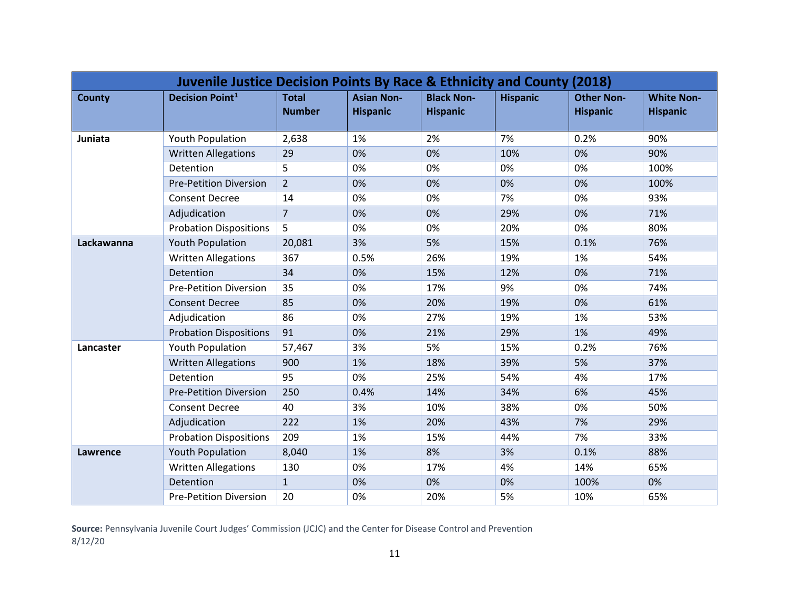| Juvenile Justice Decision Points By Race & Ethnicity and County (2018) |                               |                               |                                      |                                      |                 |                                      |                                      |  |  |
|------------------------------------------------------------------------|-------------------------------|-------------------------------|--------------------------------------|--------------------------------------|-----------------|--------------------------------------|--------------------------------------|--|--|
| <b>County</b>                                                          | <b>Decision Point1</b>        | <b>Total</b><br><b>Number</b> | <b>Asian Non-</b><br><b>Hispanic</b> | <b>Black Non-</b><br><b>Hispanic</b> | <b>Hispanic</b> | <b>Other Non-</b><br><b>Hispanic</b> | <b>White Non-</b><br><b>Hispanic</b> |  |  |
| Juniata                                                                | <b>Youth Population</b>       | 2,638                         | 1%                                   | 2%                                   | 7%              | 0.2%                                 | 90%                                  |  |  |
|                                                                        | <b>Written Allegations</b>    | 29                            | 0%                                   | 0%                                   | 10%             | 0%                                   | 90%                                  |  |  |
|                                                                        | Detention                     | 5                             | 0%                                   | 0%                                   | 0%              | 0%                                   | 100%                                 |  |  |
|                                                                        | <b>Pre-Petition Diversion</b> | $\overline{2}$                | 0%                                   | 0%                                   | 0%              | 0%                                   | 100%                                 |  |  |
|                                                                        | <b>Consent Decree</b>         | 14                            | 0%                                   | 0%                                   | 7%              | 0%                                   | 93%                                  |  |  |
|                                                                        | Adjudication                  | $\overline{7}$                | 0%                                   | 0%                                   | 29%             | 0%                                   | 71%                                  |  |  |
|                                                                        | <b>Probation Dispositions</b> | 5                             | 0%                                   | 0%                                   | 20%             | 0%                                   | 80%                                  |  |  |
| Lackawanna                                                             | <b>Youth Population</b>       | 20,081                        | 3%                                   | 5%                                   | 15%             | 0.1%                                 | 76%                                  |  |  |
|                                                                        | <b>Written Allegations</b>    | 367                           | 0.5%                                 | 26%                                  | 19%             | 1%                                   | 54%                                  |  |  |
|                                                                        | Detention                     | 34                            | 0%                                   | 15%                                  | 12%             | 0%                                   | 71%                                  |  |  |
|                                                                        | <b>Pre-Petition Diversion</b> | 35                            | 0%                                   | 17%                                  | 9%              | 0%                                   | 74%                                  |  |  |
|                                                                        | <b>Consent Decree</b>         | 85                            | 0%                                   | 20%                                  | 19%             | 0%                                   | 61%                                  |  |  |
|                                                                        | Adjudication                  | 86                            | 0%                                   | 27%                                  | 19%             | 1%                                   | 53%                                  |  |  |
|                                                                        | <b>Probation Dispositions</b> | 91                            | 0%                                   | 21%                                  | 29%             | 1%                                   | 49%                                  |  |  |
| Lancaster                                                              | <b>Youth Population</b>       | 57,467                        | 3%                                   | 5%                                   | 15%             | 0.2%                                 | 76%                                  |  |  |
|                                                                        | <b>Written Allegations</b>    | 900                           | 1%                                   | 18%                                  | 39%             | 5%                                   | 37%                                  |  |  |
|                                                                        | Detention                     | 95                            | 0%                                   | 25%                                  | 54%             | 4%                                   | 17%                                  |  |  |
|                                                                        | <b>Pre-Petition Diversion</b> | 250                           | 0.4%                                 | 14%                                  | 34%             | 6%                                   | 45%                                  |  |  |
|                                                                        | <b>Consent Decree</b>         | 40                            | 3%                                   | 10%                                  | 38%             | 0%                                   | 50%                                  |  |  |
|                                                                        | Adjudication                  | 222                           | 1%                                   | 20%                                  | 43%             | 7%                                   | 29%                                  |  |  |
|                                                                        | <b>Probation Dispositions</b> | 209                           | 1%                                   | 15%                                  | 44%             | 7%                                   | 33%                                  |  |  |
| Lawrence                                                               | <b>Youth Population</b>       | 8,040                         | 1%                                   | 8%                                   | 3%              | 0.1%                                 | 88%                                  |  |  |
|                                                                        | <b>Written Allegations</b>    | 130                           | 0%                                   | 17%                                  | 4%              | 14%                                  | 65%                                  |  |  |
|                                                                        | Detention                     | $\mathbf{1}$                  | 0%                                   | 0%                                   | 0%              | 100%                                 | 0%                                   |  |  |
|                                                                        | <b>Pre-Petition Diversion</b> | 20                            | 0%                                   | 20%                                  | 5%              | 10%                                  | 65%                                  |  |  |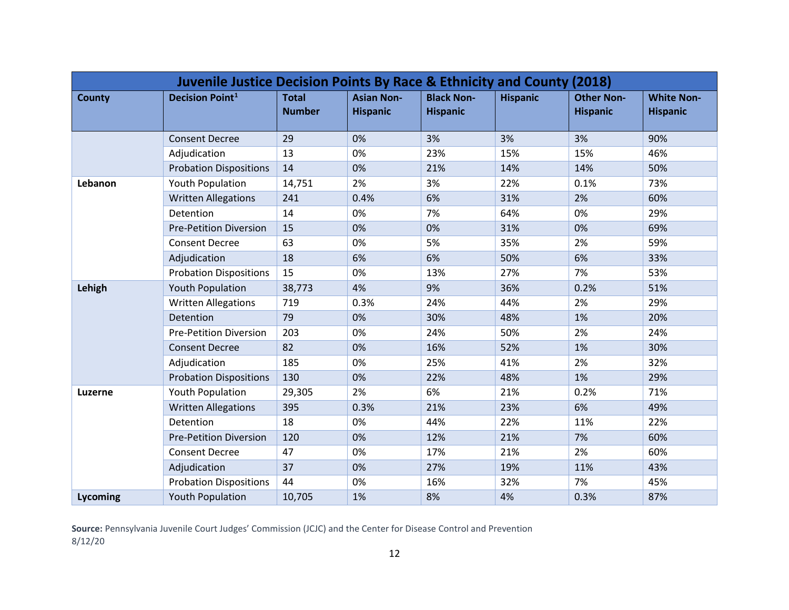| <b>Juvenile Justice Decision Points By Race &amp; Ethnicity and County (2018)</b> |                               |                               |                                      |                                      |                 |                                      |                                      |  |  |
|-----------------------------------------------------------------------------------|-------------------------------|-------------------------------|--------------------------------------|--------------------------------------|-----------------|--------------------------------------|--------------------------------------|--|--|
| <b>County</b>                                                                     | <b>Decision Point1</b>        | <b>Total</b><br><b>Number</b> | <b>Asian Non-</b><br><b>Hispanic</b> | <b>Black Non-</b><br><b>Hispanic</b> | <b>Hispanic</b> | <b>Other Non-</b><br><b>Hispanic</b> | <b>White Non-</b><br><b>Hispanic</b> |  |  |
|                                                                                   | <b>Consent Decree</b>         | 29                            | 0%                                   | 3%                                   | 3%              | 3%                                   | 90%                                  |  |  |
|                                                                                   | Adjudication                  | 13                            | 0%                                   | 23%                                  | 15%             | 15%                                  | 46%                                  |  |  |
|                                                                                   | <b>Probation Dispositions</b> | 14                            | 0%                                   | 21%                                  | 14%             | 14%                                  | 50%                                  |  |  |
| Lebanon                                                                           | Youth Population              | 14,751                        | 2%                                   | 3%                                   | 22%             | 0.1%                                 | 73%                                  |  |  |
|                                                                                   | <b>Written Allegations</b>    | 241                           | 0.4%                                 | 6%                                   | 31%             | 2%                                   | 60%                                  |  |  |
|                                                                                   | Detention                     | 14                            | 0%                                   | 7%                                   | 64%             | 0%                                   | 29%                                  |  |  |
|                                                                                   | <b>Pre-Petition Diversion</b> | 15                            | 0%                                   | 0%                                   | 31%             | 0%                                   | 69%                                  |  |  |
|                                                                                   | <b>Consent Decree</b>         | 63                            | 0%                                   | 5%                                   | 35%             | 2%                                   | 59%                                  |  |  |
|                                                                                   | Adjudication                  | 18                            | 6%                                   | 6%                                   | 50%             | 6%                                   | 33%                                  |  |  |
|                                                                                   | <b>Probation Dispositions</b> | 15                            | 0%                                   | 13%                                  | 27%             | 7%                                   | 53%                                  |  |  |
| Lehigh                                                                            | <b>Youth Population</b>       | 38,773                        | 4%                                   | 9%                                   | 36%             | 0.2%                                 | 51%                                  |  |  |
|                                                                                   | <b>Written Allegations</b>    | 719                           | 0.3%                                 | 24%                                  | 44%             | 2%                                   | 29%                                  |  |  |
|                                                                                   | Detention                     | 79                            | 0%                                   | 30%                                  | 48%             | 1%                                   | 20%                                  |  |  |
|                                                                                   | <b>Pre-Petition Diversion</b> | 203                           | 0%                                   | 24%                                  | 50%             | 2%                                   | 24%                                  |  |  |
|                                                                                   | <b>Consent Decree</b>         | 82                            | 0%                                   | 16%                                  | 52%             | 1%                                   | 30%                                  |  |  |
|                                                                                   | Adjudication                  | 185                           | 0%                                   | 25%                                  | 41%             | 2%                                   | 32%                                  |  |  |
|                                                                                   | <b>Probation Dispositions</b> | 130                           | 0%                                   | 22%                                  | 48%             | 1%                                   | 29%                                  |  |  |
| Luzerne                                                                           | Youth Population              | 29,305                        | 2%                                   | 6%                                   | 21%             | 0.2%                                 | 71%                                  |  |  |
|                                                                                   | <b>Written Allegations</b>    | 395                           | 0.3%                                 | 21%                                  | 23%             | 6%                                   | 49%                                  |  |  |
|                                                                                   | Detention                     | 18                            | 0%                                   | 44%                                  | 22%             | 11%                                  | 22%                                  |  |  |
|                                                                                   | <b>Pre-Petition Diversion</b> | 120                           | 0%                                   | 12%                                  | 21%             | 7%                                   | 60%                                  |  |  |
|                                                                                   | <b>Consent Decree</b>         | 47                            | 0%                                   | 17%                                  | 21%             | 2%                                   | 60%                                  |  |  |
|                                                                                   | Adjudication                  | 37                            | 0%                                   | 27%                                  | 19%             | 11%                                  | 43%                                  |  |  |
|                                                                                   | <b>Probation Dispositions</b> | 44                            | 0%                                   | 16%                                  | 32%             | 7%                                   | 45%                                  |  |  |
| Lycoming                                                                          | <b>Youth Population</b>       | 10,705                        | 1%                                   | 8%                                   | 4%              | 0.3%                                 | 87%                                  |  |  |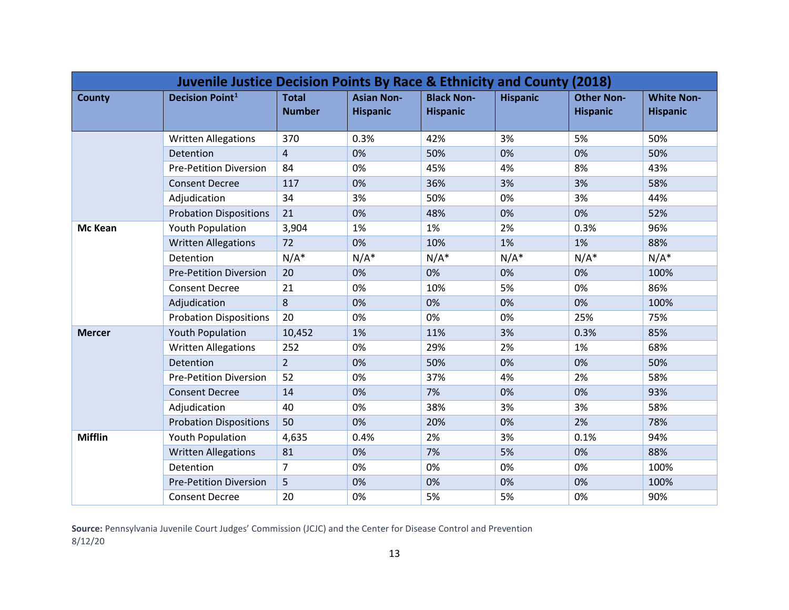| Juvenile Justice Decision Points By Race & Ethnicity and County (2018) |                               |                               |                                      |                                      |                 |                                      |                                      |  |  |
|------------------------------------------------------------------------|-------------------------------|-------------------------------|--------------------------------------|--------------------------------------|-----------------|--------------------------------------|--------------------------------------|--|--|
| <b>County</b>                                                          | <b>Decision Point1</b>        | <b>Total</b><br><b>Number</b> | <b>Asian Non-</b><br><b>Hispanic</b> | <b>Black Non-</b><br><b>Hispanic</b> | <b>Hispanic</b> | <b>Other Non-</b><br><b>Hispanic</b> | <b>White Non-</b><br><b>Hispanic</b> |  |  |
|                                                                        | <b>Written Allegations</b>    | 370                           | 0.3%                                 | 42%                                  | 3%              | 5%                                   | 50%                                  |  |  |
|                                                                        | Detention                     | 4                             | 0%                                   | 50%                                  | 0%              | 0%                                   | 50%                                  |  |  |
|                                                                        | <b>Pre-Petition Diversion</b> | 84                            | 0%                                   | 45%                                  | 4%              | 8%                                   | 43%                                  |  |  |
|                                                                        | <b>Consent Decree</b>         | 117                           | 0%                                   | 36%                                  | 3%              | 3%                                   | 58%                                  |  |  |
|                                                                        | Adjudication                  | 34                            | 3%                                   | 50%                                  | 0%              | 3%                                   | 44%                                  |  |  |
|                                                                        | <b>Probation Dispositions</b> | 21                            | 0%                                   | 48%                                  | 0%              | 0%                                   | 52%                                  |  |  |
| Mc Kean                                                                | <b>Youth Population</b>       | 3,904                         | 1%                                   | 1%                                   | 2%              | 0.3%                                 | 96%                                  |  |  |
|                                                                        | <b>Written Allegations</b>    | 72                            | 0%                                   | 10%                                  | 1%              | 1%                                   | 88%                                  |  |  |
|                                                                        | Detention                     | $N/A^*$                       | $N/A^*$                              | $N/A^*$                              | $N/A^*$         | $N/A^*$                              | $N/A^*$                              |  |  |
|                                                                        | <b>Pre-Petition Diversion</b> | 20                            | 0%                                   | 0%                                   | 0%              | 0%                                   | 100%                                 |  |  |
|                                                                        | <b>Consent Decree</b>         | 21                            | 0%                                   | 10%                                  | 5%              | 0%                                   | 86%                                  |  |  |
|                                                                        | Adjudication                  | 8                             | 0%                                   | 0%                                   | 0%              | 0%                                   | 100%                                 |  |  |
|                                                                        | <b>Probation Dispositions</b> | 20                            | 0%                                   | 0%                                   | 0%              | 25%                                  | 75%                                  |  |  |
| <b>Mercer</b>                                                          | <b>Youth Population</b>       | 10,452                        | 1%                                   | 11%                                  | 3%              | 0.3%                                 | 85%                                  |  |  |
|                                                                        | <b>Written Allegations</b>    | 252                           | 0%                                   | 29%                                  | 2%              | 1%                                   | 68%                                  |  |  |
|                                                                        | Detention                     | $\overline{2}$                | 0%                                   | 50%                                  | 0%              | 0%                                   | 50%                                  |  |  |
|                                                                        | <b>Pre-Petition Diversion</b> | 52                            | 0%                                   | 37%                                  | 4%              | 2%                                   | 58%                                  |  |  |
|                                                                        | <b>Consent Decree</b>         | 14                            | 0%                                   | 7%                                   | 0%              | 0%                                   | 93%                                  |  |  |
|                                                                        | Adjudication                  | 40                            | 0%                                   | 38%                                  | 3%              | 3%                                   | 58%                                  |  |  |
|                                                                        | <b>Probation Dispositions</b> | 50                            | 0%                                   | 20%                                  | 0%              | 2%                                   | 78%                                  |  |  |
| <b>Mifflin</b>                                                         | <b>Youth Population</b>       | 4,635                         | 0.4%                                 | 2%                                   | 3%              | 0.1%                                 | 94%                                  |  |  |
|                                                                        | <b>Written Allegations</b>    | 81                            | 0%                                   | 7%                                   | 5%              | 0%                                   | 88%                                  |  |  |
|                                                                        | Detention                     | $\overline{7}$                | 0%                                   | 0%                                   | 0%              | 0%                                   | 100%                                 |  |  |
|                                                                        | <b>Pre-Petition Diversion</b> | 5                             | 0%                                   | 0%                                   | 0%              | 0%                                   | 100%                                 |  |  |
|                                                                        | <b>Consent Decree</b>         | 20                            | 0%                                   | 5%                                   | 5%              | 0%                                   | 90%                                  |  |  |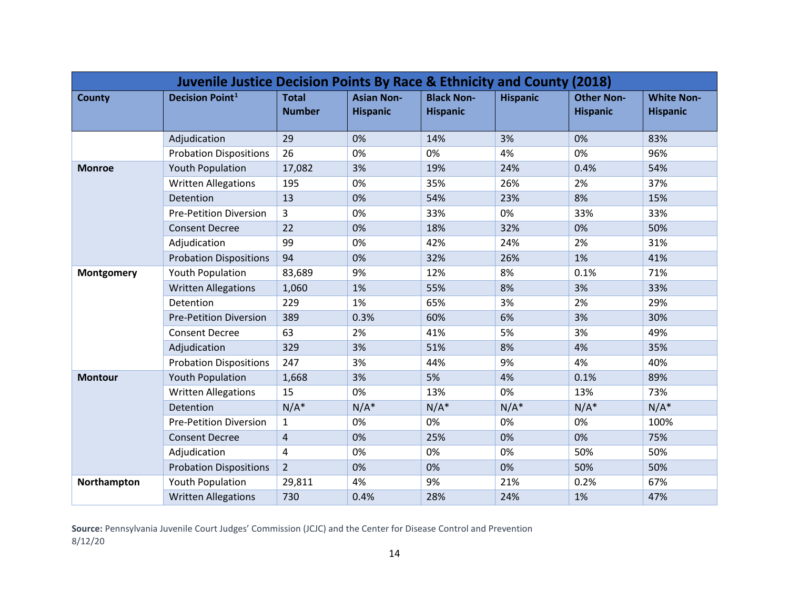| <b>Juvenile Justice Decision Points By Race &amp; Ethnicity and County (2018)</b> |                               |                               |                                      |                                      |                 |                                      |                                      |  |  |
|-----------------------------------------------------------------------------------|-------------------------------|-------------------------------|--------------------------------------|--------------------------------------|-----------------|--------------------------------------|--------------------------------------|--|--|
| <b>County</b>                                                                     | <b>Decision Point1</b>        | <b>Total</b><br><b>Number</b> | <b>Asian Non-</b><br><b>Hispanic</b> | <b>Black Non-</b><br><b>Hispanic</b> | <b>Hispanic</b> | <b>Other Non-</b><br><b>Hispanic</b> | <b>White Non-</b><br><b>Hispanic</b> |  |  |
|                                                                                   | Adjudication                  | 29                            | 0%                                   | 14%                                  | 3%              | 0%                                   | 83%                                  |  |  |
|                                                                                   | <b>Probation Dispositions</b> | 26                            | 0%                                   | 0%                                   | 4%              | 0%                                   | 96%                                  |  |  |
| <b>Monroe</b>                                                                     | <b>Youth Population</b>       | 17,082                        | 3%                                   | 19%                                  | 24%             | 0.4%                                 | 54%                                  |  |  |
|                                                                                   | <b>Written Allegations</b>    | 195                           | 0%                                   | 35%                                  | 26%             | 2%                                   | 37%                                  |  |  |
|                                                                                   | Detention                     | 13                            | 0%                                   | 54%                                  | 23%             | 8%                                   | 15%                                  |  |  |
|                                                                                   | <b>Pre-Petition Diversion</b> | 3                             | 0%                                   | 33%                                  | 0%              | 33%                                  | 33%                                  |  |  |
|                                                                                   | <b>Consent Decree</b>         | 22                            | 0%                                   | 18%                                  | 32%             | 0%                                   | 50%                                  |  |  |
|                                                                                   | Adjudication                  | 99                            | 0%                                   | 42%                                  | 24%             | 2%                                   | 31%                                  |  |  |
|                                                                                   | <b>Probation Dispositions</b> | 94                            | 0%                                   | 32%                                  | 26%             | 1%                                   | 41%                                  |  |  |
| <b>Montgomery</b>                                                                 | <b>Youth Population</b>       | 83,689                        | 9%                                   | 12%                                  | 8%              | 0.1%                                 | 71%                                  |  |  |
|                                                                                   | <b>Written Allegations</b>    | 1,060                         | 1%                                   | 55%                                  | 8%              | 3%                                   | 33%                                  |  |  |
|                                                                                   | Detention                     | 229                           | 1%                                   | 65%                                  | 3%              | 2%                                   | 29%                                  |  |  |
|                                                                                   | <b>Pre-Petition Diversion</b> | 389                           | 0.3%                                 | 60%                                  | 6%              | 3%                                   | 30%                                  |  |  |
|                                                                                   | <b>Consent Decree</b>         | 63                            | 2%                                   | 41%                                  | 5%              | 3%                                   | 49%                                  |  |  |
|                                                                                   | Adjudication                  | 329                           | 3%                                   | 51%                                  | 8%              | 4%                                   | 35%                                  |  |  |
|                                                                                   | <b>Probation Dispositions</b> | 247                           | 3%                                   | 44%                                  | 9%              | 4%                                   | 40%                                  |  |  |
| <b>Montour</b>                                                                    | <b>Youth Population</b>       | 1,668                         | 3%                                   | 5%                                   | 4%              | 0.1%                                 | 89%                                  |  |  |
|                                                                                   | <b>Written Allegations</b>    | 15                            | 0%                                   | 13%                                  | 0%              | 13%                                  | 73%                                  |  |  |
|                                                                                   | Detention                     | $N/A^*$                       | $N/A^*$                              | $N/A^*$                              | $N/A^*$         | $N/A^*$                              | $N/A^*$                              |  |  |
|                                                                                   | <b>Pre-Petition Diversion</b> | $\mathbf{1}$                  | 0%                                   | 0%                                   | 0%              | 0%                                   | 100%                                 |  |  |
|                                                                                   | <b>Consent Decree</b>         | 4                             | 0%                                   | 25%                                  | 0%              | 0%                                   | 75%                                  |  |  |
|                                                                                   | Adjudication                  | 4                             | 0%                                   | 0%                                   | 0%              | 50%                                  | 50%                                  |  |  |
|                                                                                   | <b>Probation Dispositions</b> | $\overline{2}$                | 0%                                   | 0%                                   | 0%              | 50%                                  | 50%                                  |  |  |
| Northampton                                                                       | Youth Population              | 29,811                        | 4%                                   | 9%                                   | 21%             | 0.2%                                 | 67%                                  |  |  |
|                                                                                   | <b>Written Allegations</b>    | 730                           | 0.4%                                 | 28%                                  | 24%             | 1%                                   | 47%                                  |  |  |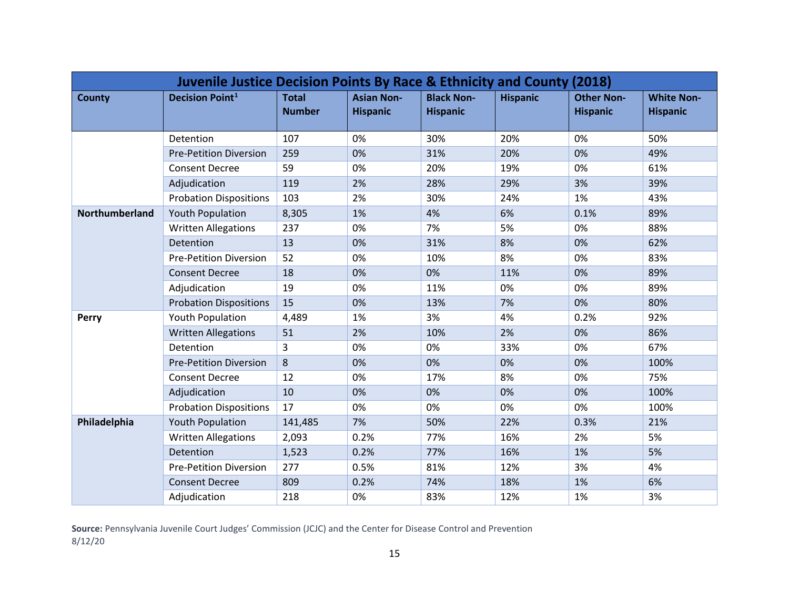| Juvenile Justice Decision Points By Race & Ethnicity and County (2018) |                               |                               |                                      |                                      |                 |                                      |                                      |  |  |
|------------------------------------------------------------------------|-------------------------------|-------------------------------|--------------------------------------|--------------------------------------|-----------------|--------------------------------------|--------------------------------------|--|--|
| <b>County</b>                                                          | <b>Decision Point1</b>        | <b>Total</b><br><b>Number</b> | <b>Asian Non-</b><br><b>Hispanic</b> | <b>Black Non-</b><br><b>Hispanic</b> | <b>Hispanic</b> | <b>Other Non-</b><br><b>Hispanic</b> | <b>White Non-</b><br><b>Hispanic</b> |  |  |
|                                                                        | Detention                     | 107                           | 0%                                   | 30%                                  | 20%             | 0%                                   | 50%                                  |  |  |
|                                                                        | <b>Pre-Petition Diversion</b> | 259                           | 0%                                   | 31%                                  | 20%             | 0%                                   | 49%                                  |  |  |
|                                                                        | <b>Consent Decree</b>         | 59                            | 0%                                   | 20%                                  | 19%             | 0%                                   | 61%                                  |  |  |
|                                                                        | Adjudication                  | 119                           | 2%                                   | 28%                                  | 29%             | 3%                                   | 39%                                  |  |  |
|                                                                        | <b>Probation Dispositions</b> | 103                           | 2%                                   | 30%                                  | 24%             | 1%                                   | 43%                                  |  |  |
| <b>Northumberland</b>                                                  | <b>Youth Population</b>       | 8,305                         | 1%                                   | 4%                                   | 6%              | 0.1%                                 | 89%                                  |  |  |
|                                                                        | <b>Written Allegations</b>    | 237                           | 0%                                   | 7%                                   | 5%              | 0%                                   | 88%                                  |  |  |
|                                                                        | Detention                     | 13                            | 0%                                   | 31%                                  | 8%              | 0%                                   | 62%                                  |  |  |
|                                                                        | <b>Pre-Petition Diversion</b> | 52                            | 0%                                   | 10%                                  | 8%              | 0%                                   | 83%                                  |  |  |
|                                                                        | <b>Consent Decree</b>         | 18                            | 0%                                   | 0%                                   | 11%             | 0%                                   | 89%                                  |  |  |
|                                                                        | Adjudication                  | 19                            | 0%                                   | 11%                                  | 0%              | 0%                                   | 89%                                  |  |  |
|                                                                        | <b>Probation Dispositions</b> | 15                            | 0%                                   | 13%                                  | 7%              | 0%                                   | 80%                                  |  |  |
| <b>Perry</b>                                                           | Youth Population              | 4,489                         | 1%                                   | 3%                                   | 4%              | 0.2%                                 | 92%                                  |  |  |
|                                                                        | <b>Written Allegations</b>    | 51                            | 2%                                   | 10%                                  | 2%              | 0%                                   | 86%                                  |  |  |
|                                                                        | Detention                     | $\mathbf{3}$                  | 0%                                   | 0%                                   | 33%             | 0%                                   | 67%                                  |  |  |
|                                                                        | <b>Pre-Petition Diversion</b> | 8                             | 0%                                   | 0%                                   | 0%              | 0%                                   | 100%                                 |  |  |
|                                                                        | <b>Consent Decree</b>         | 12                            | 0%                                   | 17%                                  | 8%              | 0%                                   | 75%                                  |  |  |
|                                                                        | Adjudication                  | 10                            | 0%                                   | 0%                                   | 0%              | 0%                                   | 100%                                 |  |  |
|                                                                        | <b>Probation Dispositions</b> | 17                            | 0%                                   | 0%                                   | 0%              | 0%                                   | 100%                                 |  |  |
| Philadelphia                                                           | <b>Youth Population</b>       | 141,485                       | 7%                                   | 50%                                  | 22%             | 0.3%                                 | 21%                                  |  |  |
|                                                                        | <b>Written Allegations</b>    | 2,093                         | 0.2%                                 | 77%                                  | 16%             | 2%                                   | 5%                                   |  |  |
|                                                                        | Detention                     | 1,523                         | 0.2%                                 | 77%                                  | 16%             | 1%                                   | 5%                                   |  |  |
|                                                                        | <b>Pre-Petition Diversion</b> | 277                           | 0.5%                                 | 81%                                  | 12%             | 3%                                   | 4%                                   |  |  |
|                                                                        | <b>Consent Decree</b>         | 809                           | 0.2%                                 | 74%                                  | 18%             | 1%                                   | 6%                                   |  |  |
|                                                                        | Adjudication                  | 218                           | 0%                                   | 83%                                  | 12%             | 1%                                   | 3%                                   |  |  |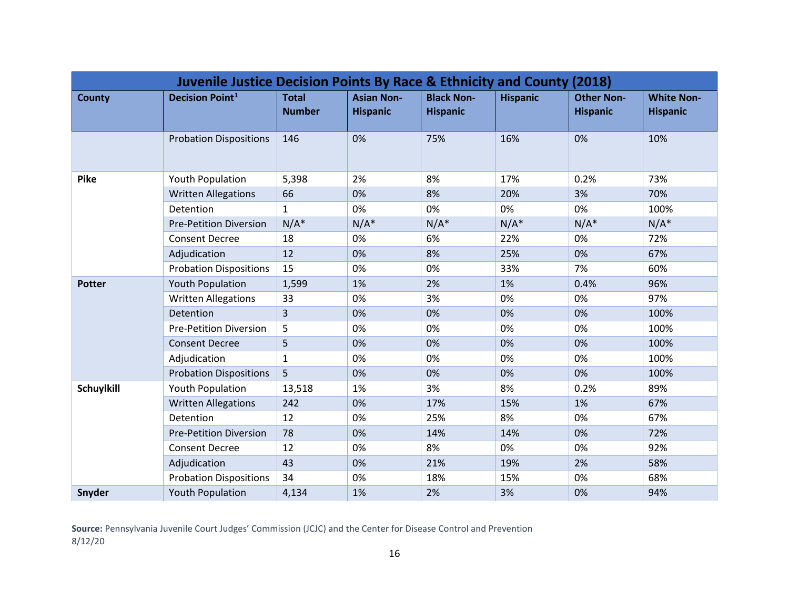| Juvenile Justice Decision Points By Race & Ethnicity and County (2018) |                               |                               |                                      |                                      |                 |                                      |                                      |  |  |
|------------------------------------------------------------------------|-------------------------------|-------------------------------|--------------------------------------|--------------------------------------|-----------------|--------------------------------------|--------------------------------------|--|--|
| <b>County</b>                                                          | <b>Decision Point1</b>        | <b>Total</b><br><b>Number</b> | <b>Asian Non-</b><br><b>Hispanic</b> | <b>Black Non-</b><br><b>Hispanic</b> | <b>Hispanic</b> | <b>Other Non-</b><br><b>Hispanic</b> | <b>White Non-</b><br><b>Hispanic</b> |  |  |
|                                                                        | <b>Probation Dispositions</b> | 146                           | 0%                                   | 75%                                  | 16%             | 0%                                   | 10%                                  |  |  |
| <b>Pike</b>                                                            | Youth Population              | 5,398                         | 2%                                   | 8%                                   | 17%             | 0.2%                                 | 73%                                  |  |  |
|                                                                        | <b>Written Allegations</b>    | 66                            | 0%                                   | 8%                                   | 20%             | 3%                                   | 70%                                  |  |  |
|                                                                        | Detention                     | $\mathbf{1}$                  | 0%                                   | 0%                                   | 0%              | 0%                                   | 100%                                 |  |  |
|                                                                        | <b>Pre-Petition Diversion</b> | $N/A^*$                       | $N/A^*$                              | $N/A^*$                              | $N/A^*$         | $N/A^*$                              | $N/A^*$                              |  |  |
|                                                                        | <b>Consent Decree</b>         | 18                            | 0%                                   | 6%                                   | 22%             | 0%                                   | 72%                                  |  |  |
|                                                                        | Adjudication                  | 12                            | 0%                                   | 8%                                   | 25%             | 0%                                   | 67%                                  |  |  |
|                                                                        | <b>Probation Dispositions</b> | 15                            | 0%                                   | 0%                                   | 33%             | 7%                                   | 60%                                  |  |  |
| <b>Potter</b>                                                          | <b>Youth Population</b>       | 1,599                         | 1%                                   | 2%                                   | 1%              | 0.4%                                 | 96%                                  |  |  |
|                                                                        | <b>Written Allegations</b>    | 33                            | 0%                                   | 3%                                   | 0%              | 0%                                   | 97%                                  |  |  |
|                                                                        | Detention                     | $\overline{3}$                | 0%                                   | 0%                                   | 0%              | 0%                                   | 100%                                 |  |  |
|                                                                        | <b>Pre-Petition Diversion</b> | 5                             | 0%                                   | 0%                                   | 0%              | 0%                                   | 100%                                 |  |  |
|                                                                        | <b>Consent Decree</b>         | 5                             | 0%                                   | 0%                                   | 0%              | 0%                                   | 100%                                 |  |  |
|                                                                        | Adjudication                  | $\mathbf{1}$                  | 0%                                   | 0%                                   | 0%              | 0%                                   | 100%                                 |  |  |
|                                                                        | <b>Probation Dispositions</b> | 5                             | 0%                                   | 0%                                   | 0%              | 0%                                   | 100%                                 |  |  |
| <b>Schuylkill</b>                                                      | Youth Population              | 13,518                        | 1%                                   | 3%                                   | 8%              | 0.2%                                 | 89%                                  |  |  |
|                                                                        | <b>Written Allegations</b>    | 242                           | 0%                                   | 17%                                  | 15%             | 1%                                   | 67%                                  |  |  |
|                                                                        | Detention                     | 12                            | 0%                                   | 25%                                  | 8%              | 0%                                   | 67%                                  |  |  |
|                                                                        | <b>Pre-Petition Diversion</b> | 78                            | 0%                                   | 14%                                  | 14%             | 0%                                   | 72%                                  |  |  |
|                                                                        | <b>Consent Decree</b>         | 12                            | 0%                                   | 8%                                   | 0%              | 0%                                   | 92%                                  |  |  |
|                                                                        | Adjudication                  | 43                            | 0%                                   | 21%                                  | 19%             | 2%                                   | 58%                                  |  |  |
|                                                                        | <b>Probation Dispositions</b> | 34                            | 0%                                   | 18%                                  | 15%             | 0%                                   | 68%                                  |  |  |
| Snyder                                                                 | <b>Youth Population</b>       | 4,134                         | 1%                                   | 2%                                   | 3%              | 0%                                   | 94%                                  |  |  |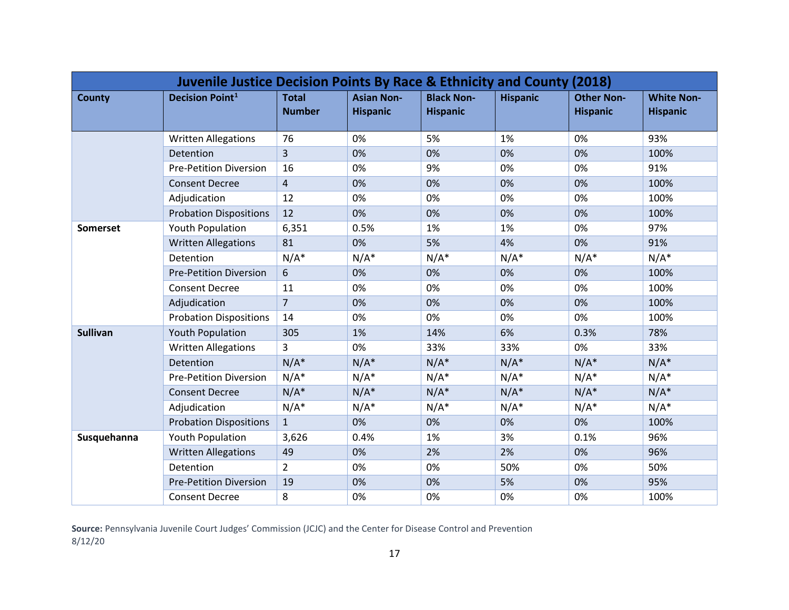| Juvenile Justice Decision Points By Race & Ethnicity and County (2018) |                               |                               |                                      |                                      |                 |                                      |                                      |  |
|------------------------------------------------------------------------|-------------------------------|-------------------------------|--------------------------------------|--------------------------------------|-----------------|--------------------------------------|--------------------------------------|--|
| <b>County</b>                                                          | <b>Decision Point1</b>        | <b>Total</b><br><b>Number</b> | <b>Asian Non-</b><br><b>Hispanic</b> | <b>Black Non-</b><br><b>Hispanic</b> | <b>Hispanic</b> | <b>Other Non-</b><br><b>Hispanic</b> | <b>White Non-</b><br><b>Hispanic</b> |  |
|                                                                        | <b>Written Allegations</b>    | 76                            | 0%                                   | 5%                                   | 1%              | 0%                                   | 93%                                  |  |
|                                                                        | Detention                     | 3                             | 0%                                   | 0%                                   | 0%              | 0%                                   | 100%                                 |  |
|                                                                        | <b>Pre-Petition Diversion</b> | 16                            | 0%                                   | 9%                                   | 0%              | 0%                                   | 91%                                  |  |
|                                                                        | <b>Consent Decree</b>         | 4                             | 0%                                   | 0%                                   | 0%              | 0%                                   | 100%                                 |  |
|                                                                        | Adjudication                  | 12                            | 0%                                   | 0%                                   | 0%              | 0%                                   | 100%                                 |  |
|                                                                        | <b>Probation Dispositions</b> | 12                            | 0%                                   | 0%                                   | 0%              | 0%                                   | 100%                                 |  |
| <b>Somerset</b>                                                        | <b>Youth Population</b>       | 6,351                         | 0.5%                                 | 1%                                   | 1%              | 0%                                   | 97%                                  |  |
|                                                                        | <b>Written Allegations</b>    | 81                            | 0%                                   | 5%                                   | 4%              | 0%                                   | 91%                                  |  |
|                                                                        | Detention                     | $N/A^*$                       | $N/A^*$                              | $N/A^*$                              | $N/A^*$         | $N/A^*$                              | $N/A^*$                              |  |
|                                                                        | <b>Pre-Petition Diversion</b> | 6                             | 0%                                   | 0%                                   | 0%              | 0%                                   | 100%                                 |  |
|                                                                        | <b>Consent Decree</b>         | 11                            | 0%                                   | 0%                                   | 0%              | 0%                                   | 100%                                 |  |
|                                                                        | Adjudication                  | $\overline{7}$                | 0%                                   | 0%                                   | 0%              | 0%                                   | 100%                                 |  |
|                                                                        | <b>Probation Dispositions</b> | 14                            | 0%                                   | 0%                                   | 0%              | 0%                                   | 100%                                 |  |
| <b>Sullivan</b>                                                        | <b>Youth Population</b>       | 305                           | 1%                                   | 14%                                  | 6%              | 0.3%                                 | 78%                                  |  |
|                                                                        | <b>Written Allegations</b>    | 3                             | 0%                                   | 33%                                  | 33%             | 0%                                   | 33%                                  |  |
|                                                                        | Detention                     | $N/A^*$                       | $N/A^*$                              | $N/A^*$                              | $N/A^*$         | $N/A^*$                              | $N/A^*$                              |  |
|                                                                        | <b>Pre-Petition Diversion</b> | $N/A^*$                       | $N/A^*$                              | $N/A^*$                              | $N/A^*$         | $N/A^*$                              | $N/A^*$                              |  |
|                                                                        | <b>Consent Decree</b>         | $N/A^*$                       | $N/A^*$                              | $N/A^*$                              | $N/A^*$         | $N/A^*$                              | $N/A^*$                              |  |
|                                                                        | Adjudication                  | $N/A^*$                       | $N/A^*$                              | $N/A^*$                              | $N/A^*$         | $N/A^*$                              | $N/A^*$                              |  |
|                                                                        | <b>Probation Dispositions</b> | $\mathbf{1}$                  | 0%                                   | 0%                                   | 0%              | 0%                                   | 100%                                 |  |
| Susquehanna                                                            | <b>Youth Population</b>       | 3,626                         | 0.4%                                 | 1%                                   | 3%              | 0.1%                                 | 96%                                  |  |
|                                                                        | <b>Written Allegations</b>    | 49                            | 0%                                   | 2%                                   | 2%              | 0%                                   | 96%                                  |  |
|                                                                        | Detention                     | $\overline{2}$                | 0%                                   | 0%                                   | 50%             | 0%                                   | 50%                                  |  |
|                                                                        | <b>Pre-Petition Diversion</b> | 19                            | 0%                                   | 0%                                   | 5%              | 0%                                   | 95%                                  |  |
|                                                                        | <b>Consent Decree</b>         | 8                             | 0%                                   | 0%                                   | 0%              | 0%                                   | 100%                                 |  |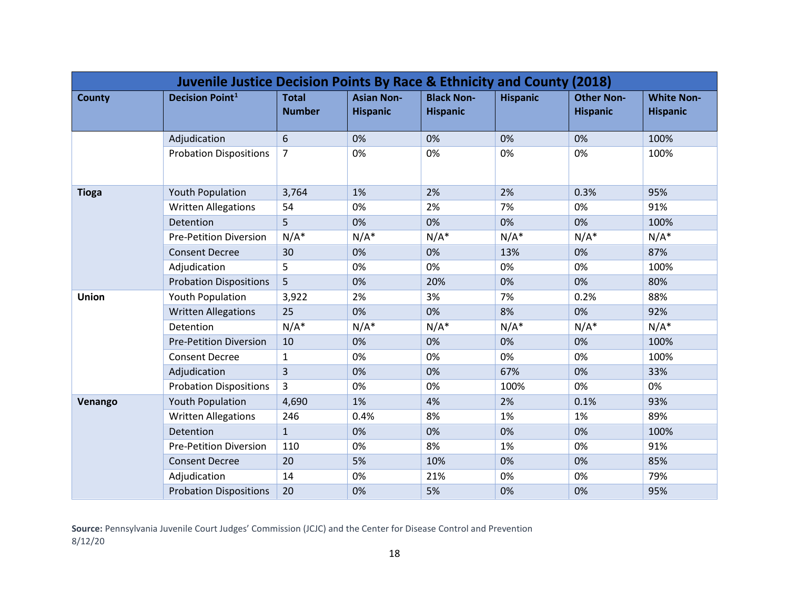| Juvenile Justice Decision Points By Race & Ethnicity and County (2018) |                               |                               |                                      |                                      |                 |                                      |                                      |  |
|------------------------------------------------------------------------|-------------------------------|-------------------------------|--------------------------------------|--------------------------------------|-----------------|--------------------------------------|--------------------------------------|--|
| <b>County</b>                                                          | <b>Decision Point1</b>        | <b>Total</b><br><b>Number</b> | <b>Asian Non-</b><br><b>Hispanic</b> | <b>Black Non-</b><br><b>Hispanic</b> | <b>Hispanic</b> | <b>Other Non-</b><br><b>Hispanic</b> | <b>White Non-</b><br><b>Hispanic</b> |  |
|                                                                        | Adjudication                  | 6                             | 0%                                   | 0%                                   | 0%              | 0%                                   | 100%                                 |  |
|                                                                        | <b>Probation Dispositions</b> | 7                             | 0%                                   | 0%                                   | 0%              | 0%                                   | 100%                                 |  |
| <b>Tioga</b>                                                           | <b>Youth Population</b>       | 3,764                         | 1%                                   | 2%                                   | 2%              | 0.3%                                 | 95%                                  |  |
|                                                                        | <b>Written Allegations</b>    | 54                            | 0%                                   | 2%                                   | 7%              | 0%                                   | 91%                                  |  |
|                                                                        | Detention                     | 5                             | 0%                                   | 0%                                   | 0%              | 0%                                   | 100%                                 |  |
|                                                                        | <b>Pre-Petition Diversion</b> | $N/A^*$                       | $N/A^*$                              | $N/A^*$                              | $N/A^*$         | $N/A^*$                              | $N/A^*$                              |  |
|                                                                        | <b>Consent Decree</b>         | 30                            | 0%                                   | 0%                                   | 13%             | 0%                                   | 87%                                  |  |
|                                                                        | Adjudication                  | 5                             | 0%                                   | 0%                                   | 0%              | 0%                                   | 100%                                 |  |
|                                                                        | <b>Probation Dispositions</b> | 5 <sup>1</sup>                | 0%                                   | 20%                                  | 0%              | 0%                                   | 80%                                  |  |
| Union                                                                  | <b>Youth Population</b>       | 3,922                         | 2%                                   | 3%                                   | 7%              | 0.2%                                 | 88%                                  |  |
|                                                                        | <b>Written Allegations</b>    | 25                            | 0%                                   | 0%                                   | 8%              | 0%                                   | 92%                                  |  |
|                                                                        | Detention                     | $N/A^*$                       | $N/A^*$                              | $N/A^*$                              | $N/A^*$         | $N/A^*$                              | $N/A^*$                              |  |
|                                                                        | <b>Pre-Petition Diversion</b> | 10                            | 0%                                   | 0%                                   | 0%              | 0%                                   | 100%                                 |  |
|                                                                        | <b>Consent Decree</b>         | $\mathbf{1}$                  | 0%                                   | 0%                                   | 0%              | 0%                                   | 100%                                 |  |
|                                                                        | Adjudication                  | $\overline{3}$                | 0%                                   | 0%                                   | 67%             | 0%                                   | 33%                                  |  |
|                                                                        | <b>Probation Dispositions</b> | 3                             | 0%                                   | 0%                                   | 100%            | 0%                                   | 0%                                   |  |
| Venango                                                                | <b>Youth Population</b>       | 4,690                         | 1%                                   | 4%                                   | 2%              | 0.1%                                 | 93%                                  |  |
|                                                                        | <b>Written Allegations</b>    | 246                           | 0.4%                                 | 8%                                   | 1%              | 1%                                   | 89%                                  |  |
|                                                                        | Detention                     | $\mathbf{1}$                  | 0%                                   | 0%                                   | 0%              | 0%                                   | 100%                                 |  |
|                                                                        | <b>Pre-Petition Diversion</b> | 110                           | 0%                                   | 8%                                   | 1%              | 0%                                   | 91%                                  |  |
|                                                                        | <b>Consent Decree</b>         | 20                            | 5%                                   | 10%                                  | 0%              | 0%                                   | 85%                                  |  |
|                                                                        | Adjudication                  | 14                            | 0%                                   | 21%                                  | 0%              | 0%                                   | 79%                                  |  |
|                                                                        | <b>Probation Dispositions</b> | 20                            | 0%                                   | 5%                                   | 0%              | 0%                                   | 95%                                  |  |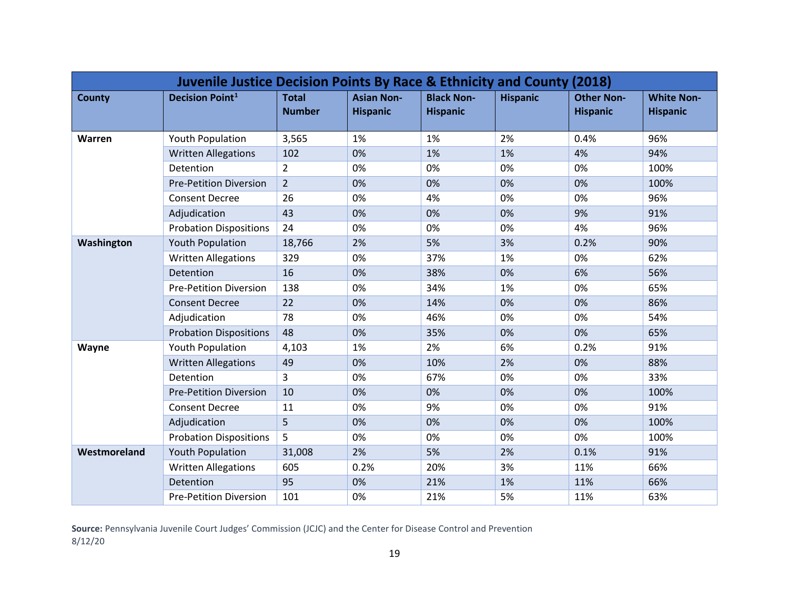| Juvenile Justice Decision Points By Race & Ethnicity and County (2018) |                               |                               |                                      |                                      |                 |                                      |                                      |  |  |
|------------------------------------------------------------------------|-------------------------------|-------------------------------|--------------------------------------|--------------------------------------|-----------------|--------------------------------------|--------------------------------------|--|--|
| <b>County</b>                                                          | <b>Decision Point1</b>        | <b>Total</b><br><b>Number</b> | <b>Asian Non-</b><br><b>Hispanic</b> | <b>Black Non-</b><br><b>Hispanic</b> | <b>Hispanic</b> | <b>Other Non-</b><br><b>Hispanic</b> | <b>White Non-</b><br><b>Hispanic</b> |  |  |
| Warren                                                                 | <b>Youth Population</b>       | 3,565                         | 1%                                   | 1%                                   | 2%              | 0.4%                                 | 96%                                  |  |  |
|                                                                        | <b>Written Allegations</b>    | 102                           | 0%                                   | 1%                                   | 1%              | 4%                                   | 94%                                  |  |  |
|                                                                        | Detention                     | $\overline{2}$                | 0%                                   | 0%                                   | 0%              | 0%                                   | 100%                                 |  |  |
|                                                                        | <b>Pre-Petition Diversion</b> | $\overline{2}$                | 0%                                   | 0%                                   | 0%              | 0%                                   | 100%                                 |  |  |
|                                                                        | <b>Consent Decree</b>         | 26                            | 0%                                   | 4%                                   | 0%              | 0%                                   | 96%                                  |  |  |
|                                                                        | Adjudication                  | 43                            | 0%                                   | 0%                                   | 0%              | 9%                                   | 91%                                  |  |  |
|                                                                        | <b>Probation Dispositions</b> | 24                            | 0%                                   | 0%                                   | 0%              | 4%                                   | 96%                                  |  |  |
| Washington                                                             | <b>Youth Population</b>       | 18,766                        | 2%                                   | 5%                                   | 3%              | 0.2%                                 | 90%                                  |  |  |
|                                                                        | <b>Written Allegations</b>    | 329                           | 0%                                   | 37%                                  | 1%              | 0%                                   | 62%                                  |  |  |
|                                                                        | Detention                     | 16                            | 0%                                   | 38%                                  | 0%              | 6%                                   | 56%                                  |  |  |
|                                                                        | <b>Pre-Petition Diversion</b> | 138                           | 0%                                   | 34%                                  | 1%              | 0%                                   | 65%                                  |  |  |
|                                                                        | <b>Consent Decree</b>         | 22                            | 0%                                   | 14%                                  | 0%              | 0%                                   | 86%                                  |  |  |
|                                                                        | Adjudication                  | 78                            | 0%                                   | 46%                                  | 0%              | 0%                                   | 54%                                  |  |  |
|                                                                        | <b>Probation Dispositions</b> | 48                            | 0%                                   | 35%                                  | 0%              | 0%                                   | 65%                                  |  |  |
| Wayne                                                                  | <b>Youth Population</b>       | 4,103                         | 1%                                   | 2%                                   | 6%              | 0.2%                                 | 91%                                  |  |  |
|                                                                        | <b>Written Allegations</b>    | 49                            | 0%                                   | 10%                                  | 2%              | 0%                                   | 88%                                  |  |  |
|                                                                        | Detention                     | 3                             | 0%                                   | 67%                                  | 0%              | 0%                                   | 33%                                  |  |  |
|                                                                        | <b>Pre-Petition Diversion</b> | 10                            | 0%                                   | 0%                                   | 0%              | 0%                                   | 100%                                 |  |  |
|                                                                        | <b>Consent Decree</b>         | 11                            | 0%                                   | 9%                                   | 0%              | 0%                                   | 91%                                  |  |  |
|                                                                        | Adjudication                  | 5                             | 0%                                   | 0%                                   | 0%              | 0%                                   | 100%                                 |  |  |
|                                                                        | <b>Probation Dispositions</b> | 5                             | 0%                                   | 0%                                   | 0%              | 0%                                   | 100%                                 |  |  |
| Westmoreland                                                           | <b>Youth Population</b>       | 31,008                        | 2%                                   | 5%                                   | 2%              | 0.1%                                 | 91%                                  |  |  |
|                                                                        | <b>Written Allegations</b>    | 605                           | 0.2%                                 | 20%                                  | 3%              | 11%                                  | 66%                                  |  |  |
|                                                                        | Detention                     | 95                            | 0%                                   | 21%                                  | 1%              | 11%                                  | 66%                                  |  |  |
|                                                                        | <b>Pre-Petition Diversion</b> | 101                           | 0%                                   | 21%                                  | 5%              | 11%                                  | 63%                                  |  |  |